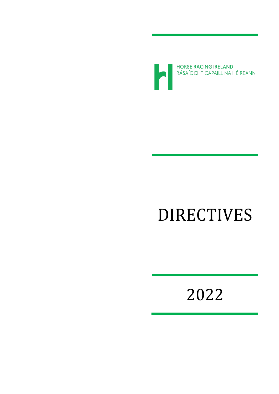

# DIRECTIVES

2022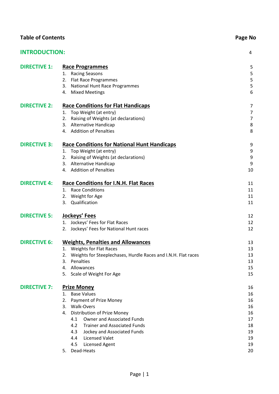| <b>Table of Contents</b> | Page No                                                                                                                                                                                                                                                                                                                                                  |                                                                |  |  |  |
|--------------------------|----------------------------------------------------------------------------------------------------------------------------------------------------------------------------------------------------------------------------------------------------------------------------------------------------------------------------------------------------------|----------------------------------------------------------------|--|--|--|
| <b>INTRODUCTION:</b>     |                                                                                                                                                                                                                                                                                                                                                          | 4                                                              |  |  |  |
| <b>DIRECTIVE 1:</b>      | <b>Race Programmes</b><br><b>Racing Seasons</b><br>1.<br>Flat Race Programmes<br>2.<br><b>National Hunt Race Programmes</b><br>3.<br>4. Mixed Meetings                                                                                                                                                                                                   | 5<br>5<br>5<br>5<br>6                                          |  |  |  |
| <b>DIRECTIVE 2:</b>      | <b>Race Conditions for Flat Handicaps</b><br>1. Top Weight (at entry)<br>2. Raising of Weights (at declarations)<br>3. Alternative Handicap<br>4. Addition of Penalties                                                                                                                                                                                  | 7<br>$\overline{7}$<br>$\overline{7}$<br>8<br>8                |  |  |  |
| <b>DIRECTIVE 3:</b>      | <b>Race Conditions for National Hunt Handicaps</b><br>1. Top Weight (at entry)<br>2. Raising of Weights (at declarations)<br>Alternative Handicap<br>3.<br>4. Addition of Penalties                                                                                                                                                                      | 9<br>9<br>9<br>9<br>10                                         |  |  |  |
| <b>DIRECTIVE 4:</b>      | <b>Race Conditions for I.N.H. Flat Races</b><br>1. Race Conditions<br>2. Weight for Age<br>Qualification<br>3.                                                                                                                                                                                                                                           | 11<br>11<br>11<br>11                                           |  |  |  |
| <b>DIRECTIVE 5:</b>      | <b>Jockeys' Fees</b><br>Jockeys' Fees for Flat Races<br>1.<br>Jockeys' Fees for National Hunt races<br>2.                                                                                                                                                                                                                                                | 12<br>12<br>12                                                 |  |  |  |
| <b>DIRECTIVE 6:</b>      | <b>Weights, Penalties and Allowances</b><br>1. Weights for Flat Races<br>Weights for Steeplechases, Hurdle Races and I.N.H. Flat races<br>2.<br>Penalties<br>3.<br>Allowances<br>4.<br>5. Scale of Weight For Age                                                                                                                                        | 13<br>13<br>13<br>13<br>15<br>15                               |  |  |  |
| <b>DIRECTIVE 7:</b>      | <b>Prize Money</b><br>1. Base Values<br><b>Payment of Prize Money</b><br>2.<br><b>Walk-Overs</b><br>3.<br>Distribution of Prize Money<br>4.<br>Owner and Associated Funds<br>4.1<br><b>Trainer and Associated Funds</b><br>4.2<br>4.3<br>Jockey and Associated Funds<br><b>Licensed Valet</b><br>4.4<br>4.5<br><b>Licensed Agent</b><br>Dead-Heats<br>5. | 16<br>16<br>16<br>16<br>16<br>17<br>18<br>19<br>19<br>19<br>20 |  |  |  |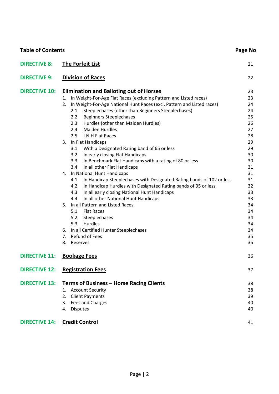| <b>Table of Contents</b> |                                                                                               | Page No  |
|--------------------------|-----------------------------------------------------------------------------------------------|----------|
| <b>DIRECTIVE 8:</b>      | The Forfeit List                                                                              | 21       |
| <b>DIRECTIVE 9:</b>      | <b>Division of Races</b>                                                                      | 22       |
| <b>DIRECTIVE 10:</b>     | <b>Elimination and Balloting out of Horses</b>                                                | 23       |
|                          | 1. In Weight-For-Age Flat Races (excluding Pattern and Listed races)                          | 23       |
|                          | In Weight-For-Age National Hunt Races (excl. Pattern and Listed races)<br>2.                  | 24       |
|                          | Steeplechases (other than Beginners Steeplechases)<br>2.1                                     | 24       |
|                          | <b>Beginners Steeplechases</b><br>2.2                                                         | 25       |
|                          | Hurdles (other than Maiden Hurdles)<br>2.3                                                    | 26       |
|                          | <b>Maiden Hurdles</b><br>2.4                                                                  | 27       |
|                          | I.N.H Flat Races<br>2.5                                                                       | 28       |
|                          | In Flat Handicaps<br>3.                                                                       | 29       |
|                          | 3.1<br>With a Designated Rating band of 65 or less                                            | 29       |
|                          | 3.2<br>In early closing Flat Handicaps                                                        | 30       |
|                          | 3.3<br>In Benchmark Flat Handicaps with a rating of 80 or less<br>In all other Flat Handicaps | 30<br>31 |
|                          | 3.4<br>4. In National Hunt Handicaps                                                          | 31       |
|                          | In Handicap Steeplechases with Designated Rating bands of 102 or less<br>4.1                  | 31       |
|                          | 4.2<br>In Handicap Hurdles with Designated Rating bands of 95 or less                         | 32       |
|                          | In all early closing National Hunt Handicaps<br>4.3                                           | 33       |
|                          | In all other National Hunt Handicaps<br>4.4                                                   | 33       |
|                          | In all Pattern and Listed Races<br>5.                                                         | 34       |
|                          | 5.1<br><b>Flat Races</b>                                                                      | 34       |
|                          | 5.2<br>Steeplechases                                                                          | 34       |
|                          | Hurdles<br>5.3                                                                                | 34       |
|                          | 6. In all Certified Hunter Steeplechases                                                      | 34       |
|                          | <b>Refund of Fees</b><br>7.                                                                   | 35       |
|                          | 8.<br>Reserves                                                                                | 35       |
|                          |                                                                                               |          |
| <b>DIRECTIVE 11:</b>     | <b>Bookage Fees</b>                                                                           | 36       |
| <b>DIRECTIVE 12:</b>     | <b>Registration Fees</b>                                                                      | 37       |
| <b>DIRECTIVE 13:</b>     | <b>Terms of Business - Horse Racing Clients</b>                                               | 38       |
|                          | <b>Account Security</b><br>1.                                                                 | 38       |
|                          | <b>Client Payments</b><br>2.                                                                  | 39       |
|                          | Fees and Charges<br>3.                                                                        | 40       |
|                          | <b>Disputes</b><br>4.                                                                         | 40       |
| <b>DIRECTIVE 14:</b>     | <b>Credit Control</b>                                                                         | 41       |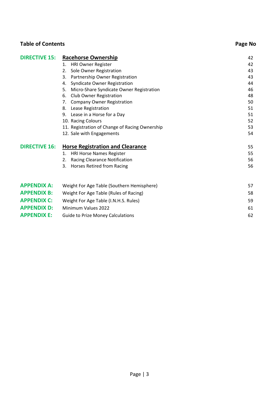| <b>DIRECTIVE 15:</b> | <b>Racehorse Ownership</b>                     | 42 |
|----------------------|------------------------------------------------|----|
|                      | <b>HRI Owner Register</b><br>1.                | 42 |
|                      | Sole Owner Registration<br>2.                  | 43 |
|                      | Partnership Owner Registration<br>3.           | 43 |
|                      | Syndicate Owner Registration<br>4.             | 44 |
|                      | Micro-Share Syndicate Owner Registration<br>5. | 46 |
|                      | Club Owner Registration<br>6.                  | 48 |
|                      | <b>Company Owner Registration</b><br>7.        | 50 |
|                      | Lease Registration<br>8.                       | 51 |
|                      | Lease in a Horse for a Day<br>9.               | 51 |
|                      | 10. Racing Colours                             | 52 |
|                      | 11. Registration of Change of Racing Ownership | 53 |
|                      | 12. Sale with Engagements                      | 54 |
| <b>DIRECTIVE 16:</b> | <b>Horse Registration and Clearance</b>        | 55 |
|                      | HRI Horse Names Register<br>1.                 | 55 |
|                      | <b>Racing Clearance Notification</b><br>2.     | 56 |
|                      | Horses Retired from Racing<br>3.               | 56 |
|                      |                                                |    |
| <b>APPENDIX A:</b>   | Weight For Age Table (Southern Hemisphere)     | 57 |
| <b>APPENDIX B:</b>   | Weight For Age Table (Rules of Racing)         | 58 |
| <b>APPENDIX C:</b>   | Weight For Age Table (I.N.H.S. Rules)          | 59 |
| <b>APPENDIX D:</b>   | Minimum Values 2022                            | 61 |
| <b>APPENDIX E:</b>   | <b>Guide to Prize Money Calculations</b>       | 62 |

**Table of Contents Page No**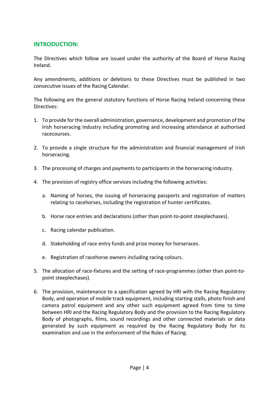#### **INTRODUCTION:**

The Directives which follow are issued under the authority of the Board of Horse Racing Ireland.

Any amendments, additions or deletions to these Directives must be published in two consecutive issues of the Racing Calendar.

The following are the general statutory functions of Horse Racing Ireland concerning these Directives:

- 1. To provide for the overall administration, governance, development and promotion of the Irish horseracing industry including promoting and increasing attendance at authorised racecourses.
- 2. To provide a single structure for the administration and financial management of Irish horseracing.
- 3. The processing of charges and payments to participants in the horseracing industry.
- 4. The provision of registry office services including the following activities:
	- a. Naming of horses, the issuing of horseracing passports and registration of matters relating to racehorses, including the registration of hunter certificates.
	- b. Horse race entries and declarations (other than point-to-point steeplechases).
	- c. Racing calendar publication.
	- d. Stakeholding of race entry funds and prize money for horseraces.
	- e. Registration of racehorse owners including racing colours.
- 5. The allocation of race-fixtures and the setting of race-programmes (other than point-topoint steeplechases).
- 6. The provision, maintenance to a specification agreed by HRI with the Racing Regulatory Body, and operation of mobile track equipment, including starting stalls, photo finish and camera patrol equipment and any other such equipment agreed from time to time between HRI and the Racing Regulatory Body and the provision to the Racing Regulatory Body of photographs, films, sound recordings and other connected materials or data generated by such equipment as required by the Racing Regulatory Body for its examination and use in the enforcement of the Rules of Racing.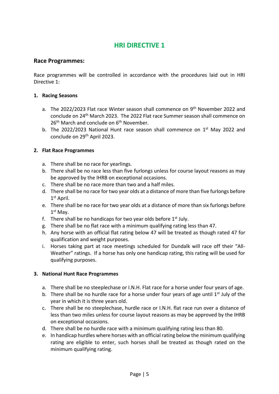#### **Race Programmes:**

Race programmes will be controlled in accordance with the procedures laid out in HRI Directive 1:

#### **1. Racing Seasons**

- a. The 2022/2023 Flat race Winter season shall commence on 9<sup>th</sup> November 2022 and conclude on 24<sup>th</sup> March 2023. The 2022 Flat race Summer season shall commence on 26<sup>th</sup> March and conclude on 6<sup>th</sup> November.
- b. The 2022/2023 National Hunt race season shall commence on 1<sup>st</sup> May 2022 and conclude on 29th April 2023.

#### **2. Flat Race Programmes**

- a. There shall be no race for yearlings.
- b. There shall be no race less than five furlongs unless for course layout reasons as may be approved by the IHRB on exceptional occasions.
- c. There shall be no race more than two and a half miles.
- d. There shall be no race for two year olds at a distance of more than five furlongs before 1 st April.
- e. There shall be no race for two year olds at a distance of more than six furlongs before 1 st May.
- f. There shall be no handicaps for two year olds before  $1<sup>st</sup>$  July.
- g. There shall be no flat race with a minimum qualifying rating less than 47.
- h. Any horse with an official flat rating below 47 will be treated as though rated 47 for qualification and weight purposes.
- i. Horses taking part at race meetings scheduled for Dundalk will race off their "All-Weather" ratings. If a horse has only one handicap rating, this rating will be used for qualifying purposes.

#### **3. National Hunt Race Programmes**

- a. There shall be no steeplechase or I.N.H. Flat race for a horse under four years of age.
- b. There shall be no hurdle race for a horse under four years of age until  $1<sup>st</sup>$  July of the year in which it is three years old.
- c. There shall be no steeplechase, hurdle race or I.N.H. flat race run over a distance of less than two miles unless for course layout reasons as may be approved by the IHRB on exceptional occasions.
- d. There shall be no hurdle race with a minimum qualifying rating less than 80.
- e. In handicap hurdles where horses with an official rating below the minimum qualifying rating are eligible to enter, such horses shall be treated as though rated on the minimum qualifying rating.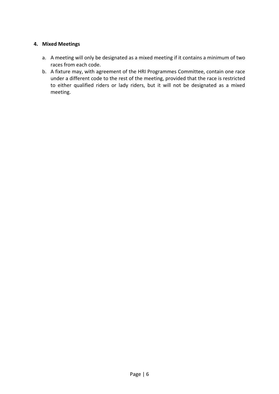#### **4. Mixed Meetings**

- a. A meeting will only be designated as a mixed meeting if it contains a minimum of two races from each code.
- b. A fixture may, with agreement of the HRI Programmes Committee, contain one race under a different code to the rest of the meeting, provided that the race is restricted to either qualified riders or lady riders, but it will not be designated as a mixed meeting.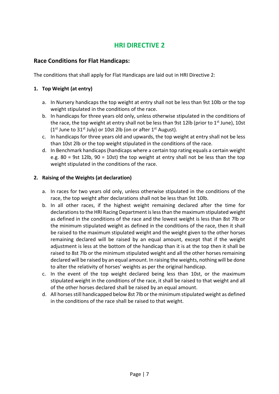#### **Race Conditions for Flat Handicaps:**

The conditions that shall apply for Flat Handicaps are laid out in HRI Directive 2:

#### **1. Top Weight (at entry)**

- a. In Nursery handicaps the top weight at entry shall not be less than 9st 10lb or the top weight stipulated in the conditions of the race.
- b. In handicaps for three years old only, unless otherwise stipulated in the conditions of the race, the top weight at entry shall not be less than 9st 12lb (prior to  $1<sup>st</sup>$  June), 10st  $(1<sup>st</sup>$  June to 31<sup>st</sup> July) or 10st 2lb (on or after 1<sup>st</sup> August).
- c. In handicaps for three years old and upwards, the top weight at entry shall not be less than 10st 2lb or the top weight stipulated in the conditions of the race.
- d. In Benchmark handicaps (handicaps where a certain top rating equals a certain weight e.g. 80 = 9st 12lb, 90 = 10st) the top weight at entry shall not be less than the top weight stipulated in the conditions of the race.

#### **2. Raising of the Weights (at declaration)**

- a. In races for two years old only, unless otherwise stipulated in the conditions of the race, the top weight after declarations shall not be less than 9st 10lb.
- b. In all other races, if the highest weight remaining declared after the time for declarations to the HRI Racing Department is less than the maximum stipulated weight as defined in the conditions of the race and the lowest weight is less than 8st 7lb or the minimum stipulated weight as defined in the conditions of the race, then it shall be raised to the maximum stipulated weight and the weight given to the other horses remaining declared will be raised by an equal amount, except that if the weight adjustment is less at the bottom of the handicap than it is at the top then it shall be raised to 8st 7lb or the minimum stipulated weight and all the other horses remaining declared will be raised by an equal amount. In raising the weights, nothing will be done to alter the relativity of horses' weights as per the original handicap.
- c. In the event of the top weight declared being less than 10st, or the maximum stipulated weight in the conditions of the race, it shall be raised to that weight and all of the other horses declared shall be raised by an equal amount.
- d. All horses still handicapped below 8st 7lb or the minimum stipulated weight as defined in the conditions of the race shall be raised to that weight.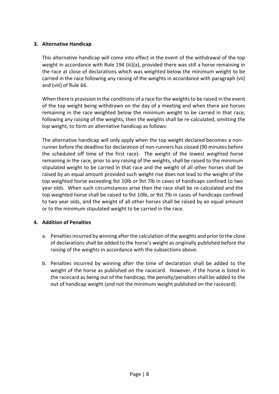#### **3. Alternative Handicap**

This alternative handicap will come into effect in the event of the withdrawal of the top weight in accordance with Rule 194 (iii)(a), provided there was still a horse remaining in the race at close of declarations which was weighted below the minimum weight to be carried in the race following any raising of the weights in accordance with paragraph (vii) and (viii) of Rule 66.

When there is provision in the conditions of a race for the weights to be raised in the event of the top weight being withdrawn on the day of a meeting and when there are horses remaining in the race weighted below the minimum weight to be carried in that race, following any raising of the weights, then the weights shall be re-calculated, omitting the top weight, to form an alternative handicap as follows:

The alternative handicap will only apply when the top weight declared becomes a nonrunner before the deadline for declaration of non-runners has closed (90 minutes before the scheduled off time of the first race). The weight of the lowest weighted horse remaining in the race, prior to any raising of the weights, shall be raised to the minimum stipulated weight to be carried in that race and the weight of all other horses shall be raised by an equal amount provided such weight rise does not lead to the weight of the top weighted horse exceeding 9st 10lb or 9st 7lb in cases of handicaps confined to two year olds. When such circumstances arise then the race shall be re-calculated and the top weighted horse shall be raised to 9st 10lb, or 9st 7lb in cases of handicaps confined to two year olds, and the weight of all other horses shall be raised by an equal amount or to the minimum stipulated weight to be carried in the race.

#### **4. Addition of Penalties**

- a. Penalties incurred by winning after the calculation of the weights and prior to the close of declarations shall be added to the horse's weight as originally published before the raising of the weights in accordance with the subsections above.
- b. Penalties incurred by winning after the time of declaration shall be added to the weight of the horse as published on the racecard. However, if the horse is listed in the racecard as being out of the handicap, the penalty/penalties shall be added to the out of handicap weight (and not the minimum weight published on the racecard).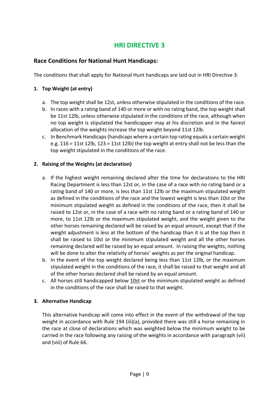#### **Race Conditions for National Hunt Handicaps:**

The conditions that shall apply for National Hunt handicaps are laid out in HRI Directive 3:

#### **1. Top Weight (at entry)**

- a. The top weight shall be 12st, unless otherwise stipulated in the conditions of the race.
- b. In races with a rating band of 140 or more or with no rating band, the top weight shall be 11st 12lb, unless otherwise stipulated in the conditions of the race, although when no top weight is stipulated the handicapper may at his discretion and in the fairest allocation of the weights increase the top weight beyond 11st 12lb.
- c. In Benchmark Handicaps (handicaps where a certain top rating equals a certain weight e.g. 116 = 11st 12lb, 123 = 11st 12lb) the top weight at entry shall not be less than the top weight stipulated in the conditions of the race.

#### **2. Raising of the Weights (at declaration)**

- a. If the highest weight remaining declared after the time for declarations to the HRI Racing Department is less than 12st or, in the case of a race with no rating band or a rating band of 140 or more, is less than 11st 12lb or the maximum stipulated weight as defined in the conditions of the race and the lowest weight is less than 10st or the minimum stipulated weight as defined in the conditions of the race, then it shall be raised to 12st or, in the case of a race with no rating band or a rating band of 140 or more, to 11st 12lb or the maximum stipulated weight, and the weight given to the other horses remaining declared will be raised by an equal amount, except that if the weight adjustment is less at the bottom of the handicap than it is at the top then it shall be raised to 10st or the minimum stipulated weight and all the other horses remaining declared will be raised by an equal amount. In raising the weights, nothing will be done to alter the relativity of horses' weights as per the original handicap.
- b. In the event of the top weight declared being less than 11st 12lb, or the maximum stipulated weight in the conditions of the race, it shall be raised to that weight and all of the other horses declared shall be raised by an equal amount.
- c. All horses still handicapped below 10st or the minimum stipulated weight as defined in the conditions of the race shall be raised to that weight.

#### **3. Alternative Handicap**

This alternative handicap will come into effect in the event of the withdrawal of the top weight in accordance with Rule 194 (iii)(a), provided there was still a horse remaining in the race at close of declarations which was weighted below the minimum weight to be carried in the race following any raising of the weights in accordance with paragraph (vii) and (viii) of Rule 66.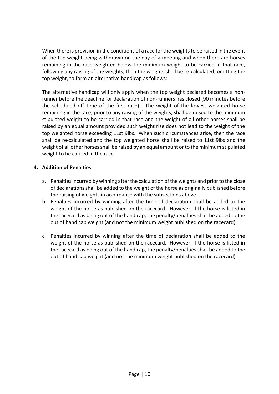When there is provision in the conditions of a race for the weights to be raised in the event of the top weight being withdrawn on the day of a meeting and when there are horses remaining in the race weighted below the minimum weight to be carried in that race, following any raising of the weights, then the weights shall be re-calculated, omitting the top weight, to form an alternative handicap as follows:

The alternative handicap will only apply when the top weight declared becomes a nonrunner before the deadline for declaration of non-runners has closed (90 minutes before the scheduled off time of the first race). The weight of the lowest weighted horse remaining in the race, prior to any raising of the weights, shall be raised to the minimum stipulated weight to be carried in that race and the weight of all other horses shall be raised by an equal amount provided such weight rise does not lead to the weight of the top weighted horse exceeding 11st 9lbs. When such circumstances arise, then the race shall be re-calculated and the top weighted horse shall be raised to 11st 9lbs and the weight of all other horses shall be raised by an equal amount or to the minimum stipulated weight to be carried in the race.

#### **4. Addition of Penalties**

- a. Penalties incurred by winning after the calculation of the weights and prior to the close of declarations shall be added to the weight of the horse as originally published before the raising of weights in accordance with the subsections above.
- b. Penalties incurred by winning after the time of declaration shall be added to the weight of the horse as published on the racecard. However, if the horse is listed in the racecard as being out of the handicap, the penalty/penalties shall be added to the out of handicap weight (and not the minimum weight published on the racecard).
- c. Penalties incurred by winning after the time of declaration shall be added to the weight of the horse as published on the racecard. However, if the horse is listed in the racecard as being out of the handicap, the penalty/penalties shall be added to the out of handicap weight (and not the minimum weight published on the racecard).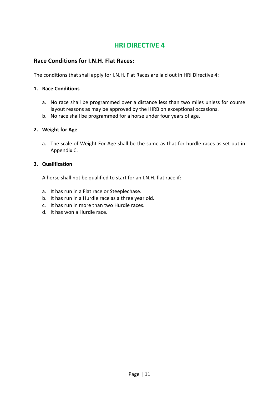#### **Race Conditions for I.N.H. Flat Races:**

The conditions that shall apply for I.N.H. Flat Races are laid out in HRI Directive 4:

#### **1. Race Conditions**

- a. No race shall be programmed over a distance less than two miles unless for course layout reasons as may be approved by the IHRB on exceptional occasions.
- b. No race shall be programmed for a horse under four years of age.

#### **2. Weight for Age**

a. The scale of Weight For Age shall be the same as that for hurdle races as set out in Appendix C.

#### **3. Qualification**

A horse shall not be qualified to start for an I.N.H. flat race if:

- a. It has run in a Flat race or Steeplechase.
- b. It has run in a Hurdle race as a three year old.
- c. It has run in more than two Hurdle races.
- d. It has won a Hurdle race.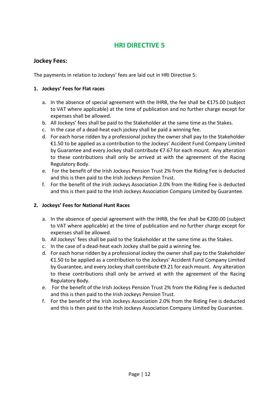#### **Jockey Fees:**

The payments in relation to Jockeys' fees are laid out in HRI Directive 5:

#### **1. Jockeys' Fees for Flat races**

- a. In the absence of special agreement with the IHRB, the fee shall be €175.00 (subject to VAT where applicable) at the time of publication and no further charge except for expenses shall be allowed.
- b. All Jockeys' fees shall be paid to the Stakeholder at the same time as the Stakes.
- c. In the case of a dead-heat each jockey shall be paid a winning fee.
- d. For each horse ridden by a professional jockey the owner shall pay to the Stakeholder €1.50 to be applied as a contribution to the Jockeys' Accident Fund Company Limited by Guarantee and every Jockey shall contribute €7.67 for each mount. Any alteration to these contributions shall only be arrived at with the agreement of the Racing Regulatory Body.
- e. For the benefit of the Irish Jockeys Pension Trust 2% from the Riding Fee is deducted and this is then paid to the Irish Jockeys Pension Trust.
- f. For the benefit of the Irish Jockeys Association 2.0% from the Riding Fee is deducted and this is then paid to the Irish Jockeys Association Company Limited by Guarantee.

#### **2. Jockeys' Fees for National Hunt Races**

- a. In the absence of special agreement with the IHRB, the fee shall be €200.00 (subject to VAT where applicable) at the time of publication and no further charge except for expenses shall be allowed.
- b. All Jockeys' fees shall be paid to the Stakeholder at the same time as the Stakes.
- c. In the case of a dead-heat each Jockey shall be paid a winning fee.
- d. For each horse ridden by a professional Jockey the owner shall pay to the Stakeholder €1.50 to be applied as a contribution to the Jockeys' Accident Fund Company Limited by Guarantee, and every Jockey shall contribute €9.21 for each mount. Any alteration to these contributions shall only be arrived at with the agreement of the Racing Regulatory Body.
- e. For the benefit of the Irish Jockeys Pension Trust 2% from the Riding Fee is deducted and this is then paid to the Irish Jockeys Pension Trust.
- f. For the benefit of the Irish Jockeys Association 2.0% from the Riding Fee is deducted and this is then paid to the Irish Jockeys Association Company Limited by Guarantee.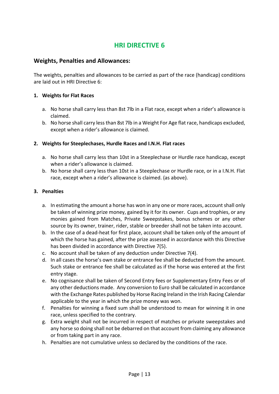#### **Weights, Penalties and Allowances:**

The weights, penalties and allowances to be carried as part of the race (handicap) conditions are laid out in HRI Directive 6:

#### **1. Weights for Flat Races**

- a. No horse shall carry less than 8st 7lb in a Flat race, except when a rider's allowance is claimed.
- b. No horse shall carry less than 8st 7lb in a Weight For Age flat race, handicaps excluded, except when a rider's allowance is claimed.

#### **2. Weights for Steeplechases, Hurdle Races and I.N.H. Flat races**

- a. No horse shall carry less than 10st in a Steeplechase or Hurdle race handicap, except when a rider's allowance is claimed.
- b. No horse shall carry less than 10st in a Steeplechase or Hurdle race, or in a I.N.H. Flat race, except when a rider's allowance is claimed. (as above).

#### **3. Penalties**

- a. In estimating the amount a horse has won in any one or more races, account shall only be taken of winning prize money, gained by it for its owner. Cups and trophies, or any monies gained from Matches, Private Sweepstakes, bonus schemes or any other source by its owner, trainer, rider, stable or breeder shall not be taken into account.
- b. In the case of a dead-heat for first place, account shall be taken only of the amount of which the horse has gained, after the prize assessed in accordance with this Directive has been divided in accordance with Directive 7(5).
- c. No account shall be taken of any deduction under Directive 7(4).
- d. In all cases the horse's own stake or entrance fee shall be deducted from the amount. Such stake or entrance fee shall be calculated as if the horse was entered at the first entry stage.
- e. No cognisance shall be taken of Second Entry fees or Supplementary Entry Fees or of any other deductions made. Any conversion to Euro shall be calculated in accordance with the Exchange Rates published by Horse Racing Ireland in the Irish Racing Calendar applicable to the year in which the prize money was won.
- f. Penalties for winning a fixed sum shall be understood to mean for winning it in one race, unless specified to the contrary.
- g. Extra weight shall not be incurred in respect of matches or private sweepstakes and any horse so doing shall not be debarred on that account from claiming any allowance or from taking part in any race.
- h. Penalties are not cumulative unless so declared by the conditions of the race.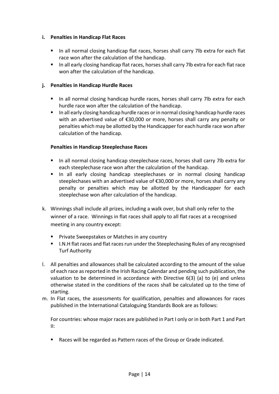#### **i. Penalties in Handicap Flat Races**

- In all normal closing handicap flat races, horses shall carry 7lb extra for each flat race won after the calculation of the handicap.
- In all early closing handicap flat races, horses shall carry 7lb extra for each flat race won after the calculation of the handicap.

#### **j. Penalties in Handicap Hurdle Races**

- In all normal closing handicap hurdle races, horses shall carry 7lb extra for each hurdle race won after the calculation of the handicap.
- In all early closing handicap hurdle races or in normal closing handicap hurdle races with an advertised value of €30,000 or more, horses shall carry any penalty or penalties which may be allotted by the Handicapper for each hurdle race won after calculation of the handicap.

#### **Penalties in Handicap Steeplechase Races**

- In all normal closing handicap steeplechase races, horses shall carry 7lb extra for each steeplechase race won after the calculation of the handicap.
- **·** In all early closing handicap steeplechases or in normal closing handicap steeplechases with an advertised value of €30,000 or more, horses shall carry any penalty or penalties which may be allotted by the Handicapper for each steeplechase won after calculation of the handicap.
- k. Winnings shall include all prizes, including a walk over, but shall only refer to the winner of a race. Winnings in flat races shall apply to all flat races at a recognised meeting in any country except:
	- Private Sweepstakes or Matches in any country
	- I.N.H flat races and flat races run under the Steeplechasing Rules of any recognised Turf Authority
- l. All penalties and allowances shall be calculated according to the amount of the value of each race as reported in the Irish Racing Calendar and pending such publication, the valuation to be determined in accordance with Directive 6(3) (a) to (e) and unless otherwise stated in the conditions of the races shall be calculated up to the time of starting.
- m. In Flat races, the assessments for qualification, penalties and allowances for races published in the International Cataloguing Standards Book are as follows:

For countries: whose major races are published in Part I only or in both Part 1 and Part II:

Races will be regarded as Pattern races of the Group or Grade indicated.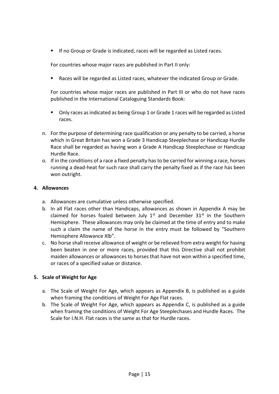▪ If no Group or Grade is indicated, races will be regarded as Listed races.

For countries whose major races are published in Part II only:

Races will be regarded as Listed races, whatever the indicated Group or Grade.

For countries whose major races are published in Part III or who do not have races published in the International Cataloguing Standards Book:

- Only races as indicated as being Group 1 or Grade 1 races will be regarded as Listed races.
- n. For the purpose of determining race qualification or any penalty to be carried, a horse which in Great Britain has won a Grade 3 Handicap Steeplechase or Handicap Hurdle Race shall be regarded as having won a Grade A Handicap Steeplechase or Handicap Hurdle Race.
- o. If in the conditions of a race a fixed penalty has to be carried for winning a race, horses running a dead-heat for such race shall carry the penalty fixed as if the race has been won outright.

#### **4. Allowances**

- a. Allowances are cumulative unless otherwise specified.
- b. In all Flat races other than Handicaps, allowances as shown in Appendix A may be claimed for horses foaled between July  $1<sup>st</sup>$  and December  $31<sup>st</sup>$  in the Southern Hemisphere. These allowances may only be claimed at the time of entry and to make such a claim the name of the horse in the entry must be followed by "Southern Hemisphere Allowance Xlb".
- c. No horse shall receive allowance of weight or be relieved from extra weight for having been beaten in one or more races, provided that this Directive shall not prohibit maiden allowances or allowances to horses that have not won within a specified time, or races of a specified value or distance.

#### **5. Scale of Weight for Age**

- a. The Scale of Weight For Age, which appears as Appendix B, is published as a guide when framing the conditions of Weight For Age Flat races.
- b. The Scale of Weight For Age, which appears as Appendix C, is published as a guide when framing the conditions of Weight For Age Steeplechases and Hurdle Races. The Scale for I.N.H. Flat races is the same as that for Hurdle races.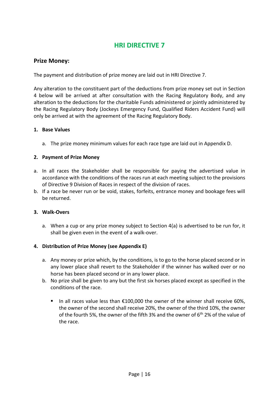#### **Prize Money:**

The payment and distribution of prize money are laid out in HRI Directive 7.

Any alteration to the constituent part of the deductions from prize money set out in Section 4 below will be arrived at after consultation with the Racing Regulatory Body, and any alteration to the deductions for the charitable Funds administered or jointly administered by the Racing Regulatory Body (Jockeys Emergency Fund, Qualified Riders Accident Fund) will only be arrived at with the agreement of the Racing Regulatory Body.

#### **1. Base Values**

a. The prize money minimum values for each race type are laid out in Appendix D.

#### **2. Payment of Prize Money**

- a. In all races the Stakeholder shall be responsible for paying the advertised value in accordance with the conditions of the races run at each meeting subject to the provisions of Directive 9 Division of Races in respect of the division of races.
- b. If a race be never run or be void, stakes, forfeits, entrance money and bookage fees will be returned.

#### **3. Walk-Overs**

a. When a cup or any prize money subject to Section 4(a) is advertised to be run for, it shall be given even in the event of a walk-over.

#### **4. Distribution of Prize Money (see Appendix E)**

- a. Any money or prize which, by the conditions, is to go to the horse placed second or in any lower place shall revert to the Stakeholder if the winner has walked over or no horse has been placed second or in any lower place.
- b. No prize shall be given to any but the first six horses placed except as specified in the conditions of the race.
	- In all races value less than €100,000 the owner of the winner shall receive 60%, the owner of the second shall receive 20%, the owner of the third 10%, the owner of the fourth 5%, the owner of the fifth 3% and the owner of 6<sup>th</sup> 2% of the value of the race.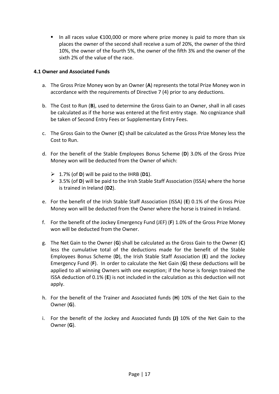■ In all races value €100,000 or more where prize money is paid to more than six places the owner of the second shall receive a sum of 20%, the owner of the third 10%, the owner of the fourth 5%, the owner of the fifth 3% and the owner of the sixth 2% of the value of the race.

#### **4.1 Owner and Associated Funds**

- a. The Gross Prize Money won by an Owner (**A**) represents the total Prize Money won in accordance with the requirements of Directive 7 (4) prior to any deductions.
- b. The Cost to Run (**B**), used to determine the Gross Gain to an Owner, shall in all cases be calculated as if the horse was entered at the first entry stage. No cognizance shall be taken of Second Entry Fees or Supplementary Entry Fees.
- c. The Gross Gain to the Owner (**C**) shall be calculated as the Gross Prize Money less the Cost to Run.
- d. For the benefit of the Stable Employees Bonus Scheme (**D**) 3.0% of the Gross Prize Money won will be deducted from the Owner of which:
	- ➢ 1.7% (of **D**) will be paid to the IHRB (**D1**).
	- ➢ 3.5% (of **D**) will be paid to the Irish Stable Staff Association (ISSA) where the horse is trained in Ireland (**D2**).
- e. For the benefit of the Irish Stable Staff Association (ISSA) (**E**) 0.1% of the Gross Prize Money won will be deducted from the Owner where the horse is trained in Ireland.
- f. For the benefit of the Jockey Emergency Fund (JEF) (**F**) 1.0% of the Gross Prize Money won will be deducted from the Owner.
- g. The Net Gain to the Owner (**G**) shall be calculated as the Gross Gain to the Owner (**C**) less the cumulative total of the deductions made for the benefit of the Stable Employees Bonus Scheme (**D**), the Irish Stable Staff Association (**E**) and the Jockey Emergency Fund (**F**). In order to calculate the Net Gain (**G**) these deductions will be applied to all winning Owners with one exception; if the horse is foreign trained the ISSA deduction of 0.1% (**E**) is not included in the calculation as this deduction will not apply.
- h. For the benefit of the Trainer and Associated funds (**H**) 10% of the Net Gain to the Owner (**G**).
- i. For the benefit of the Jockey and Associated funds **(J)** 10% of the Net Gain to the Owner (**G**).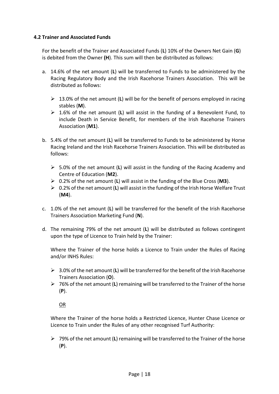#### **4.2 Trainer and Associated Funds**

For the benefit of the Trainer and Associated Funds (**L**) 10% of the Owners Net Gain (**G**) is debited from the Owner **(H**). This sum will then be distributed as follows:

- a. 14.6% of the net amount (**L**) will be transferred to Funds to be administered by the Racing Regulatory Body and the Irish Racehorse Trainers Association. This will be distributed as follows:
	- ➢ 13.0% of the net amount (**L**) will be for the benefit of persons employed in racing stables (**M**).
	- ➢ 1.6% of the net amount (**L**) will assist in the funding of a Benevolent Fund, to include Death in Service Benefit, for members of the Irish Racehorse Trainers Association (**M1**).
- b. 5.4% of the net amount (**L**) will be transferred to Funds to be administered by Horse Racing Ireland and the Irish Racehorse Trainers Association. This will be distributed as follows:
	- ➢ 5.0% of the net amount (**L**) will assist in the funding of the Racing Academy and Centre of Education (**M2**).
	- ➢ 0.2% of the net amount (**L**) will assist in the funding of the Blue Cross (**M3**).
	- ➢ 0.2% of the net amount (**L**) will assist in the funding of the Irish Horse Welfare Trust (**M4**).
- c. 1.0% of the net amount (**L**) will be transferred for the benefit of the Irish Racehorse Trainers Association Marketing Fund (**N**).
- d. The remaining 79% of the net amount (**L**) will be distributed as follows contingent upon the type of Licence to Train held by the Trainer:

Where the Trainer of the horse holds a Licence to Train under the Rules of Racing and/or INHS Rules:

- ➢ 3.0% of the net amount (**L**) will be transferred for the benefit of the Irish Racehorse Trainers Association (**O**).
- ➢ 76% of the net amount (**L**) remaining will be transferred to the Trainer of the horse (**P**).

OR

Where the Trainer of the horse holds a Restricted Licence, Hunter Chase Licence or Licence to Train under the Rules of any other recognised Turf Authority:

➢ 79% of the net amount (**L**) remaining will be transferred to the Trainer of the horse (**P**).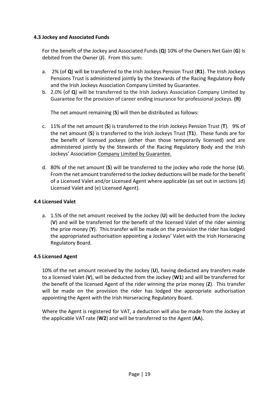#### **4.3 Jockey and Associated Funds**

For the benefit of the Jockey and Associated Funds (**Q**) 10% of the Owners Net Gain (**G**) Is debited from the Owner (**J**). From this sum:

- a. 2% (of **Q**) will be transferred to the Irish Jockeys Pension Trust (**R1**). The Irish Jockeys Pensions Trust is administered jointly by the Stewards of the Racing Regulatory Body and the Irish Jockeys Association Company Limited by Guarantee.
- b. 2.0% (of **Q**) will be transferred to the Irish Jockeys Association Company Limited by Guarantee for the provision of career ending insurance for professional jockeys. **(R)**

The net amount remaining (**S**) will then be distributed as follows:

- c. 11% of the net amount (**S**) is transferred to the Irish Jockeys Pension Trust (**T**). 9% of the net amount (**S**) is transferred to the Irish Jockeys Trust (**T1**). These funds are for the benefit of licensed jockeys (other than those temporarily licensed) and are administered jointly by the Stewards of the Racing Regulatory Body and the Irish Jockeys' Association Company Limited by Guarantee.
- d. 80% of the net amount (**S**) will be transferred to the jockey who rode the horse (**U**). From the net amount transferred to the Jockey deductions will be made for the benefit of a Licensed Valet and/or Licensed Agent where applicable (as set out in sections (d) Licensed Valet and (e) Licensed Agent).

#### **4.4 Licensed Valet**

a. 1.5% of the net amount received by the Jockey (**U**) will be deducted from the Jockey (**V**) and will be transferred for the benefit of the licensed Valet of the rider winning the prize money (**Y**). This transfer will be made on the provision the rider has lodged the appropriated authorisation appointing a Jockeys' Valet with the Irish Horseracing Regulatory Board.

#### **4.5 Licensed Agent**

10% of the net amount received by the Jockey (**U**), having deducted any transfers made to a licensed Valet (**V**), will be deducted from the Jockey (**W1**) and will be transferred for the benefit of the licensed Agent of the rider winning the prize money (**Z**). This transfer will be made on the provision the rider has lodged the appropriate authorisation appointing the Agent with the Irish Horseracing Regulatory Board.

Where the Agent is registered for VAT, a deduction will also be made from the Jockey at the applicable VAT rate (**W2**) and will be transferred to the Agent (**AA**).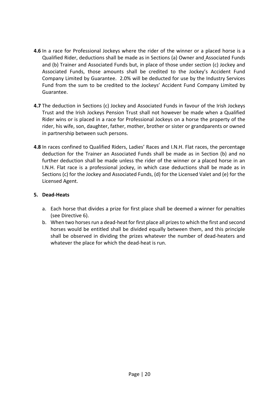- **4.6** In a race for Professional Jockeys where the rider of the winner or a placed horse is a Qualified Rider, deductions shall be made as in Sections (a) Owner and Associated Funds and (b) Trainer and Associated Funds but, in place of those under section (c) Jockey and Associated Funds, those amounts shall be credited to the Jockey's Accident Fund Company Limited by Guarantee. 2.0% will be deducted for use by the Industry Services Fund from the sum to be credited to the Jockeys' Accident Fund Company Limited by Guarantee.
- **4.7** The deduction in Sections (c) Jockey and Associated Funds in favour of the Irish Jockeys Trust and the Irish Jockeys Pension Trust shall not however be made when a Qualified Rider wins or is placed in a race for Professional Jockeys on a horse the property of the rider, his wife, son, daughter, father, mother, brother or sister or grandparents or owned in partnership between such persons.
- **4.8** In races confined to Qualified Riders, Ladies' Races and I.N.H. Flat races, the percentage deduction for the Trainer an Associated Funds shall be made as in Section (b) and no further deduction shall be made unless the rider of the winner or a placed horse in an I.N.H. Flat race is a professional jockey, in which case deductions shall be made as in Sections (c) for the Jockey and Associated Funds, (d) for the Licensed Valet and (e) for the Licensed Agent.

#### **5. Dead-Heats**

- a. Each horse that divides a prize for first place shall be deemed a winner for penalties (see Directive 6).
- b. When two horses run a dead-heat for first place all prizes to which the first and second horses would be entitled shall be divided equally between them, and this principle shall be observed in dividing the prizes whatever the number of dead-heaters and whatever the place for which the dead-heat is run.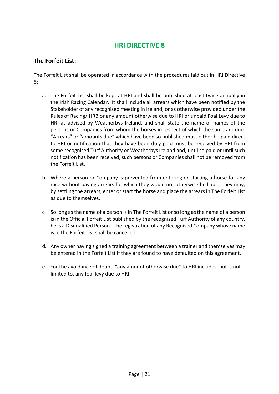#### **The Forfeit List:**

The Forfeit List shall be operated in accordance with the procedures laid out in HRI Directive  $8.$ 

- a. The Forfeit List shall be kept at HRI and shall be published at least twice annually in the Irish Racing Calendar. It shall include all arrears which have been notified by the Stakeholder of any recognised meeting in Ireland, or as otherwise provided under the Rules of Racing/IHRB or any amount otherwise due to HRI or unpaid Foal Levy due to HRI as advised by Weatherbys Ireland, and shall state the name or names of the persons or Companies from whom the horses in respect of which the same are due. "Arrears" or "amounts due" which have been so published must either be paid direct to HRI or notification that they have been duly paid must be received by HRI from some recognised Turf Authority or Weatherbys Ireland and, until so paid or until such notification has been received, such persons or Companies shall not be removed from the Forfeit List.
- b. Where a person or Company is prevented from entering or starting a horse for any race without paying arrears for which they would not otherwise be liable, they may, by settling the arrears, enter or start the horse and place the arrears in The Forfeit List as due to themselves.
- c. So long as the name of a person is in The Forfeit List or so long as the name of a person is in the Official Forfeit List published by the recognised Turf Authority of any country, he is a Disqualified Person. The registration of any Recognised Company whose name is in the Forfeit List shall be cancelled.
- d. Any owner having signed a training agreement between a trainer and themselves may be entered in the Forfeit List if they are found to have defaulted on this agreement.
- e. For the avoidance of doubt, "any amount otherwise due" to HRI includes, but is not limited to, any foal levy due to HRI.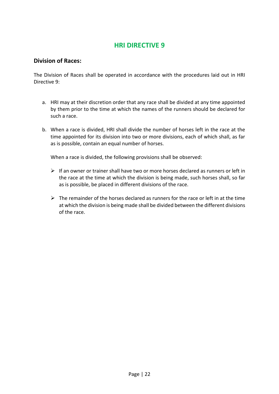#### **Division of Races:**

The Division of Races shall be operated in accordance with the procedures laid out in HRI Directive 9:

- a. HRI may at their discretion order that any race shall be divided at any time appointed by them prior to the time at which the names of the runners should be declared for such a race.
- b. When a race is divided, HRI shall divide the number of horses left in the race at the time appointed for its division into two or more divisions, each of which shall, as far as is possible, contain an equal number of horses.

When a race is divided, the following provisions shall be observed:

- $\triangleright$  If an owner or trainer shall have two or more horses declared as runners or left in the race at the time at which the division is being made, such horses shall, so far as is possible, be placed in different divisions of the race.
- $\triangleright$  The remainder of the horses declared as runners for the race or left in at the time at which the division is being made shall be divided between the different divisions of the race.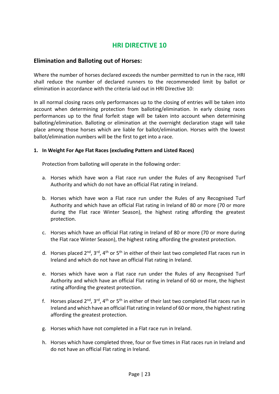#### **Elimination and Balloting out of Horses:**

Where the number of horses declared exceeds the number permitted to run in the race, HRI shall reduce the number of declared runners to the recommended limit by ballot or elimination in accordance with the criteria laid out in HRI Directive 10:

In all normal closing races only performances up to the closing of entries will be taken into account when determining protection from balloting/elimination. In early closing races performances up to the final forfeit stage will be taken into account when determining balloting/elimination. Balloting or elimination at the overnight declaration stage will take place among those horses which are liable for ballot/elimination. Horses with the lowest ballot/elimination numbers will be the first to get into a race.

#### **1. In Weight For Age Flat Races (excluding Pattern and Listed Races)**

Protection from balloting will operate in the following order:

- a. Horses which have won a Flat race run under the Rules of any Recognised Turf Authority and which do not have an official Flat rating in Ireland.
- b. Horses which have won a Flat race run under the Rules of any Recognised Turf Authority and which have an official Flat rating in Ireland of 80 or more (70 or more during the Flat race Winter Season), the highest rating affording the greatest protection.
- c. Horses which have an official Flat rating in Ireland of 80 or more (70 or more during the Flat race Winter Season), the highest rating affording the greatest protection.
- d. Horses placed  $2^{nd}$ ,  $3^{rd}$ ,  $4^{th}$  or  $5^{th}$  in either of their last two completed Flat races run in Ireland and which do not have an official Flat rating in Ireland.
- e. Horses which have won a Flat race run under the Rules of any Recognised Turf Authority and which have an official Flat rating in Ireland of 60 or more, the highest rating affording the greatest protection.
- f. Horses placed  $2^{nd}$ ,  $3^{rd}$ ,  $4^{th}$  or  $5^{th}$  in either of their last two completed Flat races run in Ireland and which have an official Flat rating in Ireland of 60 or more, the highest rating affording the greatest protection.
- g. Horses which have not completed in a Flat race run in Ireland.
- h. Horses which have completed three, four or five times in Flat races run in Ireland and do not have an official Flat rating in Ireland.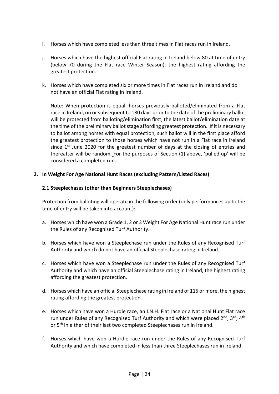- i. Horses which have completed less than three times in Flat races run in Ireland.
- j. Horses which have the highest official Flat rating in Ireland below 80 at time of entry (below 70 during the Flat race Winter Season), the highest rating affording the greatest protection.
- k. Horses which have completed six or more times in Flat races run in Ireland and do not have an official Flat rating in Ireland.

Note: When protection is equal, horses previously balloted/eliminated from a Flat race in Ireland, on or subsequent to 180 days prior to the date of the preliminary ballot will be protected from balloting/elimination first, the latest ballot/elimination date at the time of the preliminary ballot stage affording greatest protection. If it is necessary to ballot among horses with equal protection, such ballot will in the first place afford the greatest protection to those horses which have not run in a Flat race in Ireland since  $1<sup>st</sup>$  June 2020 for the greatest number of days at the closing of entries and thereafter will be random. For the purposes of Section (1) above, 'pulled up' will be considered a completed run.

#### **2. In Weight For Age National Hunt Races (excluding Pattern/Listed Races)**

#### **2.1 Steeplechases (other than Beginners Steeplechases)**

- a. Horses which have won a Grade 1, 2 or 3 Weight For Age National Hunt race run under the Rules of any Recognised Turf Authority.
- b. Horses which have won a Steeplechase run under the Rules of any Recognised Turf Authority and which do not have an official Steeplechase rating in Ireland.
- c. Horses which have won a Steeplechase run under the Rules of any Recognised Turf Authority and which have an official Steeplechase rating in Ireland, the highest rating affording the greatest protection.
- d. Horses which have an official Steeplechase rating in Ireland of 115 or more, the highest rating affording the greatest protection.
- e. Horses which have won a Hurdle race, an I.N.H. Flat race or a National Hunt Flat race run under Rules of any Recognised Turf Authority and which were placed  $2^{nd}$ ,  $3^{rd}$ ,  $4^{th}$ or 5<sup>th</sup> in either of their last two completed Steeplechases run in Ireland.
- f. Horses which have won a Hurdle race run under the Rules of any Recognised Turf Authority and which have completed in less than three Steeplechases run in Ireland.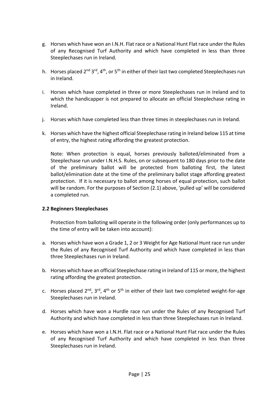- g. Horses which have won an I.N.H. Flat race or a National Hunt Flat race under the Rules of any Recognised Turf Authority and which have completed in less than three Steeplechases run in Ireland.
- h. Horses placed 2<sup>nd</sup> 3<sup>rd</sup>, 4<sup>th</sup>, or 5<sup>th</sup> in either of their last two completed Steeplechases run in Ireland.
- i. Horses which have completed in three or more Steeplechases run in Ireland and to which the handicapper is not prepared to allocate an official Steeplechase rating in Ireland.
- j. Horses which have completed less than three times in steeplechases run in Ireland.
- k. Horses which have the highest official Steeplechase rating in Ireland below 115 at time of entry, the highest rating affording the greatest protection.

Note: When protection is equal, horses previously balloted/eliminated from a Steeplechase run under I.N.H.S. Rules, on or subsequent to 180 days prior to the date of the preliminary ballot will be protected from balloting first, the latest ballot/elimination date at the time of the preliminary ballot stage affording greatest protection. If it is necessary to ballot among horses of equal protection, such ballot will be random. For the purposes of Section (2.1) above, 'pulled up' will be considered a completed run.

#### **2.2 Beginners Steeplechases**

- a. Horses which have won a Grade 1, 2 or 3 Weight for Age National Hunt race run under the Rules of any Recognised Turf Authority and which have completed in less than three Steeplechases run in Ireland.
- b. Horses which have an official Steeplechase rating in Ireland of 115 or more, the highest rating affording the greatest protection.
- c. Horses placed  $2^{nd}$ ,  $3^{rd}$ ,  $4^{th}$  or  $5^{th}$  in either of their last two completed weight-for-age Steeplechases run in Ireland.
- d. Horses which have won a Hurdle race run under the Rules of any Recognised Turf Authority and which have completed in less than three Steeplechases run in Ireland.
- e. Horses which have won a I.N.H. Flat race or a National Hunt Flat race under the Rules of any Recognised Turf Authority and which have completed in less than three Steeplechases run in Ireland.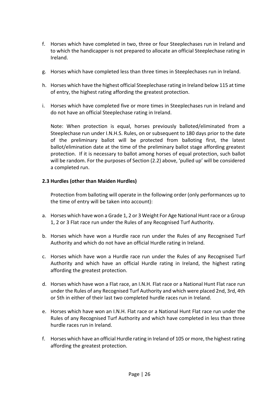- f. Horses which have completed in two, three or four Steeplechases run in Ireland and to which the handicapper is not prepared to allocate an official Steeplechase rating in Ireland.
- g. Horses which have completed less than three times in Steeplechases run in Ireland.
- h. Horses which have the highest official Steeplechase rating in Ireland below 115 at time of entry, the highest rating affording the greatest protection.
- i. Horses which have completed five or more times in Steeplechases run in Ireland and do not have an official Steeplechase rating in Ireland.

Note: When protection is equal, horses previously balloted/eliminated from a Steeplechase run under I.N.H.S. Rules, on or subsequent to 180 days prior to the date of the preliminary ballot will be protected from balloting first, the latest ballot/elimination date at the time of the preliminary ballot stage affording greatest protection. If it is necessary to ballot among horses of equal protection, such ballot will be random. For the purposes of Section (2.2) above, 'pulled up' will be considered a completed run.

#### **2.3 Hurdles (other than Maiden Hurdles)**

- a. Horses which have won a Grade 1, 2 or 3 Weight For Age National Hunt race or a Group 1, 2 or 3 Flat race run under the Rules of any Recognised Turf Authority.
- b. Horses which have won a Hurdle race run under the Rules of any Recognised Turf Authority and which do not have an official Hurdle rating in Ireland.
- c. Horses which have won a Hurdle race run under the Rules of any Recognised Turf Authority and which have an official Hurdle rating in Ireland, the highest rating affording the greatest protection.
- d. Horses which have won a Flat race, an I.N.H. Flat race or a National Hunt Flat race run under the Rules of any Recognised Turf Authority and which were placed 2nd, 3rd, 4th or 5th in either of their last two completed hurdle races run in Ireland.
- e. Horses which have won an I.N.H. Flat race or a National Hunt Flat race run under the Rules of any Recognised Turf Authority and which have completed in less than three hurdle races run in Ireland.
- f. Horses which have an official Hurdle rating in Ireland of 105 or more, the highest rating affording the greatest protection.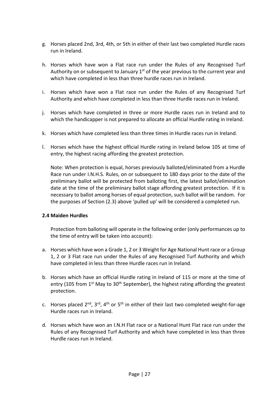- g. Horses placed 2nd, 3rd, 4th, or 5th in either of their last two completed Hurdle races run in Ireland.
- h. Horses which have won a Flat race run under the Rules of any Recognised Turf Authority on or subsequent to January  $1<sup>st</sup>$  of the year previous to the current year and which have completed in less than three hurdle races run in Ireland.
- i. Horses which have won a Flat race run under the Rules of any Recognised Turf Authority and which have completed in less than three Hurdle races run in Ireland.
- j. Horses which have completed in three or more Hurdle races run in Ireland and to which the handicapper is not prepared to allocate an official Hurdle rating in Ireland.
- k. Horses which have completed less than three times in Hurdle races run in Ireland.
- l. Horses which have the highest official Hurdle rating in Ireland below 105 at time of entry, the highest racing affording the greatest protection.

Note: When protection is equal, horses previously balloted/eliminated from a Hurdle Race run under I.N.H.S. Rules, on or subsequent to 180 days prior to the date of the preliminary ballot will be protected from balloting first, the latest ballot/elimination date at the time of the preliminary ballot stage affording greatest protection. If it is necessary to ballot among horses of equal protection, such ballot will be random. For the purposes of Section (2.3) above 'pulled up' will be considered a completed run.

#### **2.4 Maiden Hurdles**

- a. Horses which have won a Grade 1, 2 or 3 Weight for Age National Hunt race or a Group 1, 2 or 3 Flat race run under the Rules of any Recognised Turf Authority and which have completed in less than three Hurdle races run in Ireland.
- b. Horses which have an official Hurdle rating in Ireland of 115 or more at the time of entry (105 from  $1<sup>st</sup>$  May to 30<sup>th</sup> September), the highest rating affording the greatest protection.
- c. Horses placed  $2^{nd}$ ,  $3^{rd}$ ,  $4^{th}$  or  $5^{th}$  in either of their last two completed weight-for-age Hurdle races run in Ireland.
- d. Horses which have won an I.N.H Flat race or a National Hunt Flat race run under the Rules of any Recognised Turf Authority and which have completed in less than three Hurdle races run in Ireland.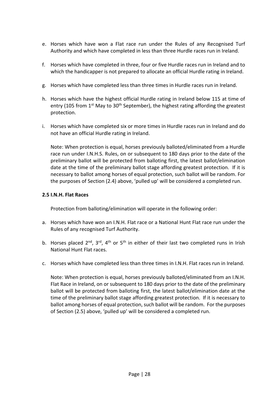- e. Horses which have won a Flat race run under the Rules of any Recognised Turf Authority and which have completed in less than three Hurdle races run in Ireland.
- f. Horses which have completed in three, four or five Hurdle races run in Ireland and to which the handicapper is not prepared to allocate an official Hurdle rating in Ireland.
- g. Horses which have completed less than three times in Hurdle races run in Ireland.
- h. Horses which have the highest official Hurdle rating in Ireland below 115 at time of entry (105 from  $1<sup>st</sup>$  May to 30<sup>th</sup> September), the highest rating affording the greatest protection.
- i. Horses which have completed six or more times in Hurdle races run in Ireland and do not have an official Hurdle rating in Ireland.

Note: When protection is equal, horses previously balloted/eliminated from a Hurdle race run under I.N.H.S. Rules, on or subsequent to 180 days prior to the date of the preliminary ballot will be protected from balloting first, the latest ballot/elimination date at the time of the preliminary ballot stage affording greatest protection. If it is necessary to ballot among horses of equal protection, such ballot will be random. For the purposes of Section (2.4) above, 'pulled up' will be considered a completed run.

#### **2.5 I.N.H. Flat Races**

Protection from balloting/elimination will operate in the following order:

- a. Horses which have won an I.N.H. Flat race or a National Hunt Flat race run under the Rules of any recognised Turf Authority.
- b. Horses placed  $2^{nd}$ ,  $3^{rd}$ ,  $4^{th}$  or  $5^{th}$  in either of their last two completed runs in Irish National Hunt Flat races.
- c. Horses which have completed less than three times in I.N.H. Flat races run in Ireland.

Note: When protection is equal, horses previously balloted/eliminated from an I.N.H. Flat Race in Ireland, on or subsequent to 180 days prior to the date of the preliminary ballot will be protected from balloting first, the latest ballot/elimination date at the time of the preliminary ballot stage affording greatest protection. If it is necessary to ballot among horses of equal protection, such ballot will be random. For the purposes of Section (2.5) above, 'pulled up' will be considered a completed run.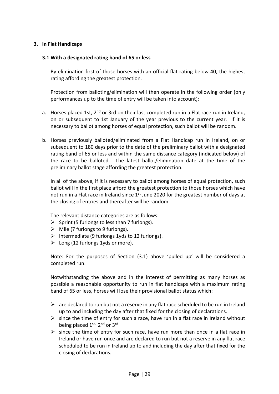#### **3. In Flat Handicaps**

#### **3.1 With a designated rating band of 65 or less**

By elimination first of those horses with an official flat rating below 40, the highest rating affording the greatest protection.

Protection from balloting/elimination will then operate in the following order (only performances up to the time of entry will be taken into account):

- a. Horses placed 1st,  $2^{nd}$  or 3rd on their last completed run in a Flat race run in Ireland, on or subsequent to 1st January of the year previous to the current year. If it is necessary to ballot among horses of equal protection, such ballot will be random.
- b. Horses previously balloted/eliminated from a Flat Handicap run in Ireland, on or subsequent to 180 days prior to the date of the preliminary ballot with a designated rating band of 65 or less and within the same distance category (indicated below) of the race to be balloted. The latest ballot/elimination date at the time of the preliminary ballot stage affording the greatest protection.

In all of the above, if it is necessary to ballot among horses of equal protection, such ballot will in the first place afford the greatest protection to those horses which have not run in a Flat race in Ireland since 1<sup>st</sup> June 2020 for the greatest number of days at the closing of entries and thereafter will be random.

The relevant distance categories are as follows:

- $\triangleright$  Sprint (5 furlongs to less than 7 furlongs).
- $\triangleright$  Mile (7 furlongs to 9 furlongs).
- $\triangleright$  Intermediate (9 furlongs 1yds to 12 furlongs).
- $\triangleright$  Long (12 furlongs 1yds or more).

Note: For the purposes of Section (3.1) above 'pulled up' will be considered a completed run.

Notwithstanding the above and in the interest of permitting as many horses as possible a reasonable opportunity to run in flat handicaps with a maximum rating band of 65 or less, horses will lose their provisional ballot status which:

- $\triangleright$  are declared to run but not a reserve in any flat race scheduled to be run in Ireland up to and including the day after that fixed for the closing of declarations.
- $\triangleright$  since the time of entry for such a race, have run in a flat race in Ireland without being placed 1st, 2nd or 3rd
- $\triangleright$  since the time of entry for such race, have run more than once in a flat race in Ireland or have run once and are declared to run but not a reserve in any flat race scheduled to be run in Ireland up to and including the day after that fixed for the closing of declarations.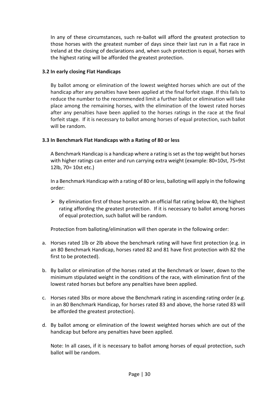In any of these circumstances, such re-ballot will afford the greatest protection to those horses with the greatest number of days since their last run in a flat race in Ireland at the closing of declarations and, when such protection is equal, horses with the highest rating will be afforded the greatest protection.

#### **3.2 In early closing Flat Handicaps**

By ballot among or elimination of the lowest weighted horses which are out of the handicap after any penalties have been applied at the final forfeit stage. If this fails to reduce the number to the recommended limit a further ballot or elimination will take place among the remaining horses, with the elimination of the lowest rated horses after any penalties have been applied to the horses ratings in the race at the final forfeit stage. If it is necessary to ballot among horses of equal protection, such ballot will be random.

#### **3.3 In Benchmark Flat Handicaps with a Rating of 80 or less**

A Benchmark Handicap is a handicap where a rating is set as the top weight but horses with higher ratings can enter and run carrying extra weight (example: 80=10st, 75=9st 12lb, 70= 10st etc.)

In a Benchmark Handicap with a rating of 80 or less, balloting will apply in the following order:

 $\triangleright$  By elimination first of those horses with an official flat rating below 40, the highest rating affording the greatest protection. If it is necessary to ballot among horses of equal protection, such ballot will be random.

Protection from balloting/elimination will then operate in the following order:

- a. Horses rated 1lb or 2lb above the benchmark rating will have first protection (e.g. in an 80 Benchmark Handicap, horses rated 82 and 81 have first protection with 82 the first to be protected).
- b. By ballot or elimination of the horses rated at the Benchmark or lower, down to the minimum stipulated weight in the conditions of the race, with elimination first of the lowest rated horses but before any penalties have been applied.
- c. Horses rated 3lbs or more above the Benchmark rating in ascending rating order (e.g. in an 80 Benchmark Handicap, for horses rated 83 and above, the horse rated 83 will be afforded the greatest protection).
- d. By ballot among or elimination of the lowest weighted horses which are out of the handicap but before any penalties have been applied.

Note: In all cases, if it is necessary to ballot among horses of equal protection, such ballot will be random.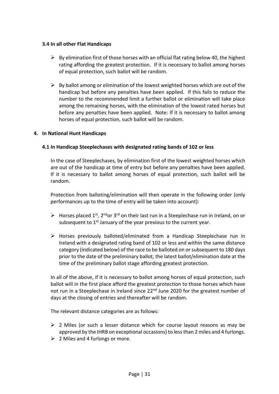#### **3.4 In all other Flat Handicaps**

- $\triangleright$  By elimination first of those horses with an official flat rating below 40, the highest rating affording the greatest protection. If it is necessary to ballot among horses of equal protection, such ballot will be random.
- $\triangleright$  By ballot among or elimination of the lowest weighted horses which are out of the handicap but before any penalties have been applied. If this fails to reduce the number to the recommended limit a further ballot or elimination will take place among the remaining horses, with the elimination of the lowest rated horses but before any penalties have been applied. Note: If it is necessary to ballot among horses of equal protection, such ballot will be random.

#### **4. In National Hunt Handicaps**

#### **4.1 In Handicap Steeplechases with designated rating bands of 102 or less**

In the case of Steeplechases, by elimination first of the lowest weighted horses which are out of the handicap at time of entry but before any penalties have been applied. If it is necessary to ballot among horses of equal protection, such ballot will be random.

Protection from balloting/elimination will then operate in the following order (only performances up to the time of entry will be taken into account):

- $\triangleright$  Horses placed 1<sup>st</sup>, 2<sup>nd</sup> or 3<sup>rd</sup> on their last run in a Steeplechase run in Ireland, on or subsequent to  $1<sup>st</sup>$  January of the year previous to the current year.
- ➢ Horses previously balloted/eliminated from a Handicap Steeplechase run in Ireland with a designated rating band of 102 or less and within the same distance category (indicated below) of the race to be balloted on or subsequent to 180 days prior to the date of the preliminary ballot, the latest ballot/elimination date at the time of the preliminary ballot stage affording greatest protection.

In all of the above, if it is necessary to ballot among horses of equal protection, such ballot will in the first place afford the greatest protection to those horses which have not run in a Steeplechase in Ireland since 22<sup>nd</sup> June 2020 for the greatest number of days at the closing of entries and thereafter will be random.

The relevant distance categories are as follows:

- $\geq 2$  Miles (or such a lesser distance which for course layout reasons as may be approved by the IHRB on exceptional occasions) to less than 2 miles and 4 furlongs.
- $\geq$  2 Miles and 4 furlongs or more.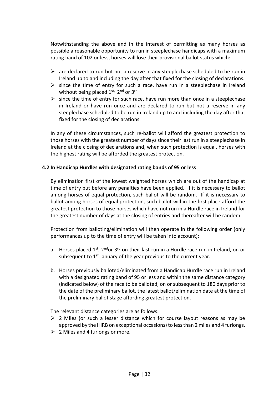Notwithstanding the above and in the interest of permitting as many horses as possible a reasonable opportunity to run in steeplechase handicaps with a maximum rating band of 102 or less, horses will lose their provisional ballot status which:

- $\triangleright$  are declared to run but not a reserve in any steeplechase scheduled to be run in Ireland up to and including the day after that fixed for the closing of declarations.
- $\triangleright$  since the time of entry for such a race, have run in a steeplechase in Ireland without being placed 1st, 2nd or 3rd
- $\triangleright$  since the time of entry for such race, have run more than once in a steeplechase in Ireland or have run once and are declared to run but not a reserve in any steeplechase scheduled to be run in Ireland up to and including the day after that fixed for the closing of declarations.

In any of these circumstances, such re-ballot will afford the greatest protection to those horses with the greatest number of days since their last run in a steeplechase in Ireland at the closing of declarations and, when such protection is equal, horses with the highest rating will be afforded the greatest protection.

#### **4.2 In Handicap Hurdles with designated rating bands of 95 or less**

By elimination first of the lowest weighted horses which are out of the handicap at time of entry but before any penalties have been applied. If it is necessary to ballot among horses of equal protection, such ballot will be random. If it is necessary to ballot among horses of equal protection, such ballot will in the first place afford the greatest protection to those horses which have not run in a Hurdle race in Ireland for the greatest number of days at the closing of entries and thereafter will be random.

Protection from balloting/elimination will then operate in the following order (only performances up to the time of entry will be taken into account):

- a. Horses placed  $1^{st}$ ,  $2^{nd}$ or  $3^{rd}$  on their last run in a Hurdle race run in Ireland, on or subsequent to  $1<sup>st</sup>$  January of the year previous to the current year.
- b. Horses previously balloted/eliminated from a Handicap Hurdle race run in Ireland with a designated rating band of 95 or less and within the same distance category (indicated below) of the race to be balloted, on or subsequent to 180 days prior to the date of the preliminary ballot, the latest ballot/elimination date at the time of the preliminary ballot stage affording greatest protection.

The relevant distance categories are as follows:

- $\triangleright$  2 Miles (or such a lesser distance which for course layout reasons as may be approved by the IHRB on exceptional occasions) to less than 2 miles and 4 furlongs.
- $\geq 2$  Miles and 4 furlongs or more.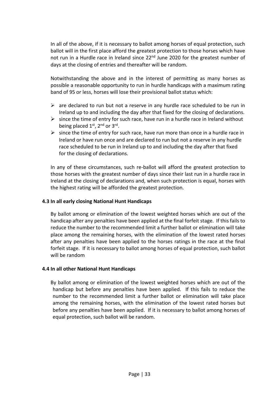In all of the above, if it is necessary to ballot among horses of equal protection, such ballot will in the first place afford the greatest protection to those horses which have not run in a Hurdle race in Ireland since 22<sup>nd</sup> June 2020 for the greatest number of days at the closing of entries and thereafter will be random.

Notwithstanding the above and in the interest of permitting as many horses as possible a reasonable opportunity to run in hurdle handicaps with a maximum rating band of 95 or less, horses will lose their provisional ballot status which:

- $\triangleright$  are declared to run but not a reserve in any hurdle race scheduled to be run in Ireland up to and including the day after that fixed for the closing of declarations.
- $\triangleright$  since the time of entry for such race, have run in a hurdle race in Ireland without being placed 1<sup>st</sup>, 2<sup>nd</sup> or 3<sup>rd</sup>.
- $\triangleright$  since the time of entry for such race, have run more than once in a hurdle race in Ireland or have run once and are declared to run but not a reserve in any hurdle race scheduled to be run in Ireland up to and including the day after that fixed for the closing of declarations.

In any of these circumstances, such re-ballot will afford the greatest protection to those horses with the greatest number of days since their last run in a hurdle race in Ireland at the closing of declarations and, when such protection is equal, horses with the highest rating will be afforded the greatest protection.

#### **4.3 In all early closing National Hunt Handicaps**

By ballot among or elimination of the lowest weighted horses which are out of the handicap after any penalties have been applied at the final forfeit stage. If this fails to reduce the number to the recommended limit a further ballot or elimination will take place among the remaining horses, with the elimination of the lowest rated horses after any penalties have been applied to the horses ratings in the race at the final forfeit stage. If it is necessary to ballot among horses of equal protection, such ballot will be random

#### **4.4 In all other National Hunt Handicaps**

By ballot among or elimination of the lowest weighted horses which are out of the handicap but before any penalties have been applied. If this fails to reduce the number to the recommended limit a further ballot or elimination will take place among the remaining horses, with the elimination of the lowest rated horses but before any penalties have been applied. If it is necessary to ballot among horses of equal protection, such ballot will be random.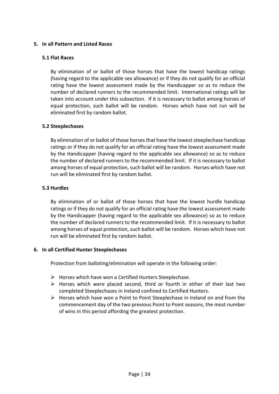#### **5. In all Pattern and Listed Races**

#### **5.1 Flat Races**

By elimination of or ballot of those horses that have the lowest handicap ratings (having regard to the applicable sex allowance) or if they do not qualify for an official rating have the lowest assessment made by the Handicapper so as to reduce the number of declared runners to the recommended limit. International ratings will be taken into account under this subsection. If it is necessary to ballot among horses of equal protection, such ballot will be random. Horses which have not run will be eliminated first by random ballot.

#### **5.2 Steeplechases**

By elimination of or ballot of those horses that have the lowest steeplechase handicap ratings or if they do not qualify for an official rating have the lowest assessment made by the Handicapper (having regard to the applicable sex allowance) so as to reduce the number of declared runners to the recommended limit. If it is necessary to ballot among horses of equal protection, such ballot will be random. Horses which have not run will be eliminated first by random ballot.

#### **5.3 Hurdles**

By elimination of or ballot of those horses that have the lowest hurdle handicap ratings or if they do not qualify for an official rating have the lowest assessment made by the Handicapper (having regard to the applicable sex allowance) so as to reduce the number of declared runners to the recommended limit. If it is necessary to ballot among horses of equal protection, such ballot will be random. Horses which have not run will be eliminated first by random ballot.

#### **6. In all Certified Hunter Steeplechases**

Protection from balloting/elimination will operate in the following order:

- $\triangleright$  Horses which have won a Certified Hunters Steeplechase.
- ➢ Horses which were placed second, third or fourth in either of their last two completed Steeplechases in Ireland confined to Certified Hunters.
- $\triangleright$  Horses which have won a Point to Point Steeplechase in Ireland on and from the commencement day of the two previous Point to Point seasons, the most number of wins in this period affording the greatest protection.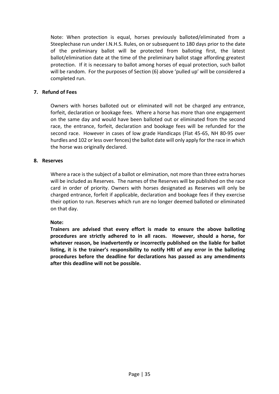Note: When protection is equal, horses previously balloted/eliminated from a Steeplechase run under I.N.H.S. Rules, on or subsequent to 180 days prior to the date of the preliminary ballot will be protected from balloting first, the latest ballot/elimination date at the time of the preliminary ballot stage affording greatest protection. If it is necessary to ballot among horses of equal protection, such ballot will be random. For the purposes of Section (6) above 'pulled up' will be considered a completed run.

#### **7. Refund of Fees**

Owners with horses balloted out or eliminated will not be charged any entrance, forfeit, declaration or bookage fees. Where a horse has more than one engagement on the same day and would have been balloted out or eliminated from the second race, the entrance, forfeit, declaration and bookage fees will be refunded for the second race. However in cases of low grade Handicaps (Flat 45-65, NH 80-95 over hurdles and 102 or less over fences) the ballot date will only apply for the race in which the horse was originally declared.

#### **8. Reserves**

Where a race is the subject of a ballot or elimination, not more than three extra horses will be included as Reserves. The names of the Reserves will be published on the race card in order of priority. Owners with horses designated as Reserves will only be charged entrance, forfeit if applicable, declaration and bookage fees if they exercise their option to run. Reserves which run are no longer deemed balloted or eliminated on that day.

**Note:**

**Trainers are advised that every effort is made to ensure the above balloting procedures are strictly adhered to in all races. However, should a horse, for whatever reason, be inadvertently or incorrectly published on the liable for ballot listing, it is the trainer's responsibility to notify HRI of any error in the balloting procedures before the deadline for declarations has passed as any amendments after this deadline will not be possible.**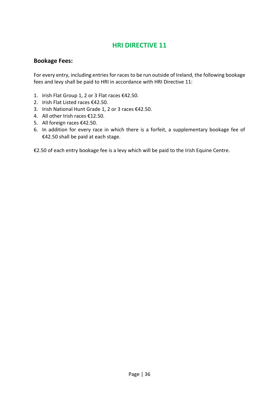## **Bookage Fees:**

For every entry, including entries for races to be run outside of Ireland, the following bookage fees and levy shall be paid to HRI in accordance with HRI Directive 11:

- 1. Irish Flat Group 1, 2 or 3 Flat races €42.50.
- 2. Irish Flat Listed races €42.50.
- 3. Irish National Hunt Grade 1, 2 or 3 races €42.50.
- 4. All other Irish races €12.50.
- 5. All foreign races €42.50.
- 6. In addition for every race in which there is a forfeit, a supplementary bookage fee of €42.50 shall be paid at each stage.

€2.50 of each entry bookage fee is a levy which will be paid to the Irish Equine Centre.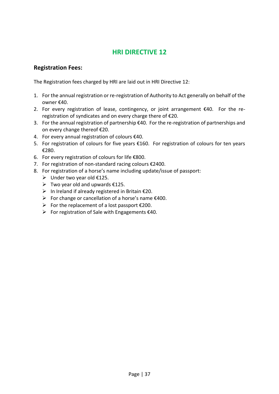#### **Registration Fees:**

The Registration fees charged by HRI are laid out in HRI Directive 12:

- 1. For the annual registration or re-registration of Authority to Act generally on behalf of the owner €40.
- 2. For every registration of lease, contingency, or joint arrangement €40. For the reregistration of syndicates and on every charge there of €20.
- 3. For the annual registration of partnership €40. For the re-registration of partnerships and on every change thereof €20.
- 4. For every annual registration of colours €40.
- 5. For registration of colours for five years €160. For registration of colours for ten years €280.
- 6. For every registration of colours for life €800.
- 7. For registration of non-standard racing colours €2400.
- 8. For registration of a horse's name including update/issue of passport:
	- $\triangleright$  Under two year old  $£125$ .
	- $\triangleright$  Two year old and upwards £125.
	- $\triangleright$  In Ireland if already registered in Britain  $\epsilon$ 20.
	- $\triangleright$  For change or cancellation of a horse's name  $\epsilon$ 400.
	- $\triangleright$  For the replacement of a lost passport  $\epsilon$ 200.
	- $\triangleright$  For registration of Sale with Engagements  $\epsilon$ 40.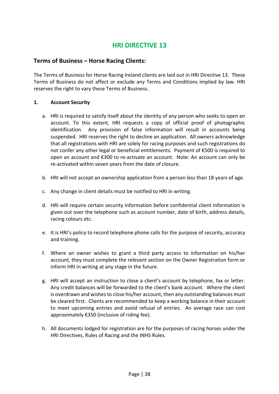#### **Terms of Business – Horse Racing Clients:**

The Terms of Business for Horse Racing Ireland clients are laid out in HRI Directive 13. These Terms of Business do not affect or exclude any Terms and Conditions implied by law. HRI reserves the right to vary these Terms of Business.

#### **1. Account Security**

- a. HRI is required to satisfy itself about the identity of any person who seeks to open an account. To this extent, HRI requests a copy of official proof of photographic identification. Any provision of false information will result in accounts being suspended. HRI reserves the right to decline an application. All owners acknowledge that all registrations with HRI are solely for racing purposes and such registrations do not confer any other legal or beneficial entitlements. Payment of €500 is required to open an account and €300 to re-activate an account. Note: An account can only be re-activated within seven years from the date of closure.
- b. HRI will not accept an ownership application from a person less than 18 years of age.
- c. Any change in client details must be notified to HRI in writing.
- d. HRI will require certain security information before confidential client information is given out over the telephone such as account number, date of birth, address details, racing colours etc.
- e. It is HRI's policy to record telephone phone calls for the purpose of security, accuracy and training.
- f. Where an owner wishes to grant a third party access to information on his/her account, they must complete the relevant section on the Owner Registration form or inform HRI in writing at any stage in the future.
- g. HRI will accept an instruction to close a client's account by telephone, fax or letter. Any credit balances will be forwarded to the client's bank account. Where the client is overdrawn and wishes to close his/her account, then any outstanding balances must be cleared first. Clients are recommended to keep a working balance in their account to meet upcoming entries and avoid refusal of entries. An average race can cost approximately €350 (inclusive of riding fee).
- h. All documents lodged for registration are for the purposes of racing horses under the HRI Directives, Rules of Racing and the INHS Rules.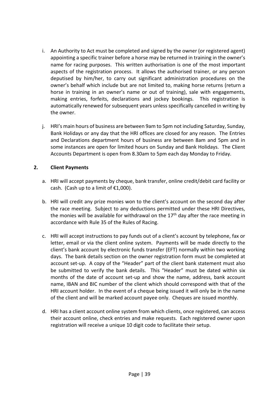- i. An Authority to Act must be completed and signed by the owner (or registered agent) appointing a specific trainer before a horse may be returned in training in the owner's name for racing purposes. This written authorisation is one of the most important aspects of the registration process. It allows the authorised trainer, or any person deputised by him/her, to carry out significant administration procedures on the owner's behalf which include but are not limited to, making horse returns (return a horse in training in an owner's name or out of training), sale with engagements, making entries, forfeits, declarations and jockey bookings. This registration is automatically renewed for subsequent years unless specifically cancelled in writing by the owner.
- j. HRI's main hours of business are between 9am to 5pm not including Saturday, Sunday, Bank Holidays or any day that the HRI offices are closed for any reason. The Entries and Declarations department hours of business are between 8am and 5pm and in some instances are open for limited hours on Sunday and Bank Holidays. The Client Accounts Department is open from 8.30am to 5pm each day Monday to Friday.

#### **2. Client Payments**

- a. HRI will accept payments by cheque, bank transfer, online credit/debit card facility or cash. (Cash up to a limit of  $£1,000$ ).
- b. HRI will credit any prize monies won to the client's account on the second day after the race meeting. Subject to any deductions permitted under these HRI Directives, the monies will be available for withdrawal on the 17<sup>th</sup> day after the race meeting in accordance with Rule 35 of the Rules of Racing.
- c. HRI will accept instructions to pay funds out of a client's account by telephone, fax or letter, email or via the client online system. Payments will be made directly to the client's bank account by electronic funds transfer (EFT) normally within two working days. The bank details section on the owner registration form must be completed at account set-up. A copy of the "Header" part of the client bank statement must also be submitted to verify the bank details. This "Header" must be dated within six months of the date of account set-up and show the name, address, bank account name, IBAN and BIC number of the client which should correspond with that of the HRI account holder. In the event of a cheque being issued it will only be in the name of the client and will be marked account payee only. Cheques are issued monthly.
- d. HRI has a client account online system from which clients, once registered, can access their account online, check entries and make requests. Each registered owner upon registration will receive a unique 10 digit code to facilitate their setup.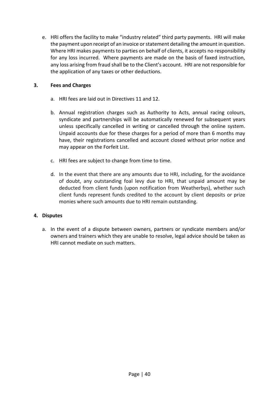e. HRI offers the facility to make "industry related" third party payments. HRI will make the payment upon receipt of an invoice or statement detailing the amount in question. Where HRI makes payments to parties on behalf of clients, it accepts no responsibility for any loss incurred. Where payments are made on the basis of faxed instruction, any loss arising from fraud shall be to the Client's account. HRI are not responsible for the application of any taxes or other deductions.

#### **3. Fees and Charges**

- a. HRI fees are laid out in Directives 11 and 12.
- b. Annual registration charges such as Authority to Acts, annual racing colours, syndicate and partnerships will be automatically renewed for subsequent years unless specifically cancelled in writing or cancelled through the online system. Unpaid accounts due for these charges for a period of more than 6 months may have, their registrations cancelled and account closed without prior notice and may appear on the Forfeit List.
- c. HRI fees are subject to change from time to time.
- d. In the event that there are any amounts due to HRI, including, for the avoidance of doubt, any outstanding foal levy due to HRI, that unpaid amount may be deducted from client funds (upon notification from Weatherbys), whether such client funds represent funds credited to the account by client deposits or prize monies where such amounts due to HRI remain outstanding.

#### **4. Disputes**

a. In the event of a dispute between owners, partners or syndicate members and/or owners and trainers which they are unable to resolve, legal advice should be taken as HRI cannot mediate on such matters.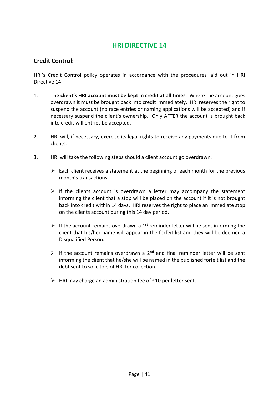#### **Credit Control:**

HRI's Credit Control policy operates in accordance with the procedures laid out in HRI Directive 14:

- 1. **The client's HRI account must be kept in credit at all times**. Where the account goes overdrawn it must be brought back into credit immediately. HRI reserves the right to suspend the account (no race entries or naming applications will be accepted) and if necessary suspend the client's ownership. Only AFTER the account is brought back into credit will entries be accepted.
- 2. HRI will, if necessary, exercise its legal rights to receive any payments due to it from clients.
- 3. HRI will take the following steps should a client account go overdrawn:
	- $\triangleright$  Each client receives a statement at the beginning of each month for the previous month's transactions.
	- $\triangleright$  If the clients account is overdrawn a letter may accompany the statement informing the client that a stop will be placed on the account if it is not brought back into credit within 14 days. HRI reserves the right to place an immediate stop on the clients account during this 14 day period.
	- $\triangleright$  If the account remains overdrawn a 1<sup>st</sup> reminder letter will be sent informing the client that his/her name will appear in the forfeit list and they will be deemed a Disqualified Person.
	- $\triangleright$  If the account remains overdrawn a 2<sup>nd</sup> and final reminder letter will be sent informing the client that he/she will be named in the published forfeit list and the debt sent to solicitors of HRI for collection.
	- $\triangleright$  HRI may charge an administration fee of  $\epsilon$ 10 per letter sent.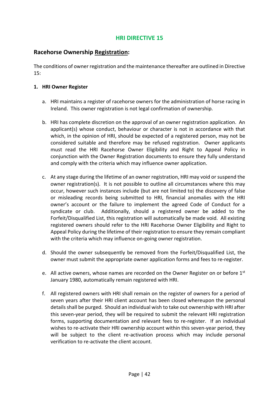#### **Racehorse Ownership Registration:**

The conditions of owner registration and the maintenance thereafter are outlined in Directive 15:

#### **1. HRI Owner Register**

- a. HRI maintains a register of racehorse owners for the administration of horse racing in Ireland. This owner registration is not legal confirmation of ownership.
- b. HRI has complete discretion on the approval of an owner registration application. An applicant(s) whose conduct, behaviour or character is not in accordance with that which, in the opinion of HRI, should be expected of a registered person, may not be considered suitable and therefore may be refused registration. Owner applicants must read the HRI Racehorse Owner Eligibility and Right to Appeal Policy in conjunction with the Owner Registration documents to ensure they fully understand and comply with the criteria which may influence owner application.
- c. At any stage during the lifetime of an owner registration, HRI may void or suspend the owner registration(s). It is not possible to outline all circumstances where this may occur, however such instances include (but are not limited to) the discovery of false or misleading records being submitted to HRI, financial anomalies with the HRI owner's account or the failure to implement the agreed Code of Conduct for a syndicate or club. Additionally, should a registered owner be added to the Forfeit/Disqualified List, this registration will automatically be made void. All existing registered owners should refer to the HRI Racehorse Owner Eligibility and Right to Appeal Policy during the lifetime of their registration to ensure they remain compliant with the criteria which may influence on-going owner registration.
- d. Should the owner subsequently be removed from the Forfeit/Disqualified List, the owner must submit the appropriate owner application forms and fees to re-register.
- e. All active owners, whose names are recorded on the Owner Register on or before  $1<sup>st</sup>$ January 1980, automatically remain registered with HRI.
- f. All registered owners with HRI shall remain on the register of owners for a period of seven years after their HRI client account has been closed whereupon the personal details shall be purged. Should an individual wish to take out ownership with HRI after this seven-year period, they will be required to submit the relevant HRI registration forms, supporting documentation and relevant fees to re-register. If an individual wishes to re-activate their HRI ownership account within this seven-year period, they will be subject to the client re-activation process which may include personal verification to re-activate the client account.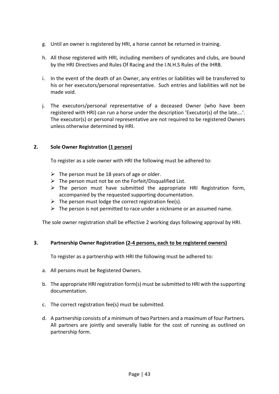- g. Until an owner is registered by HRI, a horse cannot be returned in training.
- h. All those registered with HRI, including members of syndicates and clubs, are bound by the HRI Directives and Rules Of Racing and the I.N.H.S Rules of the IHRB.
- i. In the event of the death of an Owner, any entries or liabilities will be transferred to his or her executors/personal representative. Such entries and liabilities will not be made void.
- j. The executors/personal representative of a deceased Owner (who have been registered with HRI) can run a horse under the description 'Executor(s) of the late….'. The executor(s) or personal representative are not required to be registered Owners unless otherwise determined by HRI.

#### **2. Sole Owner Registration (1 person)**

To register as a sole owner with HRI the following must be adhered to:

- $\triangleright$  The person must be 18 years of age or older.
- $\triangleright$  The person must not be on the Forfeit/Disqualified List.
- $\triangleright$  The person must have submitted the appropriate HRI Registration form, accompanied by the requested supporting documentation.
- $\triangleright$  The person must lodge the correct registration fee(s).
- $\triangleright$  The person is not permitted to race under a nickname or an assumed name.

The sole owner registration shall be effective 2 working days following approval by HRI.

#### **3. Partnership Owner Registration (2-4 persons, each to be registered owners)**

To register as a partnership with HRI the following must be adhered to:

- a. All persons must be Registered Owners.
- b. The appropriate HRI registration form(s) must be submitted to HRI with the supporting documentation.
- c. The correct registration fee(s) must be submitted.
- d. A partnership consists of a minimum of two Partners and a maximum of four Partners. All partners are jointly and severally liable for the cost of running as outlined on partnership form.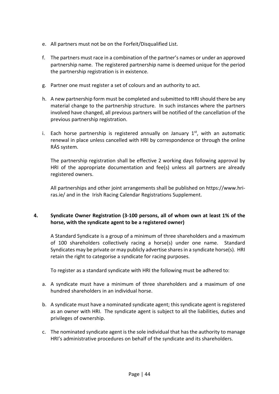- e. All partners must not be on the Forfeit/Disqualified List.
- f. The partners must race in a combination of the partner's names or under an approved partnership name. The registered partnership name is deemed unique for the period the partnership registration is in existence.
- g. Partner one must register a set of colours and an authority to act.
- h. A new partnership form must be completed and submitted to HRI should there be any material change to the partnership structure. In such instances where the partners involved have changed, all previous partners will be notified of the cancellation of the previous partnership registration.
- i. Each horse partnership is registered annually on January  $1<sup>st</sup>$ , with an automatic renewal in place unless cancelled with HRI by correspondence or through the online RÁS system.

The partnership registration shall be effective 2 working days following approval by HRI of the appropriate documentation and fee(s) unless all partners are already registered owners.

All partnerships and other joint arrangements shall be published on [https://www.hri](https://www.hri-ras.ie/)[ras.ie/](https://www.hri-ras.ie/) and in the Irish Racing Calendar Registrations Supplement.

#### **4. Syndicate Owner Registration (3-100 persons, all of whom own at least 1% of the horse, with the syndicate agent to be a registered owner)**

A Standard Syndicate is a group of a minimum of three shareholders and a maximum of 100 shareholders collectively racing a horse(s) under one name. Standard Syndicates may be private or may publicly advertise shares in a syndicate horse(s). HRI retain the right to categorise a syndicate for racing purposes.

To register as a standard syndicate with HRI the following must be adhered to:

- a. A syndicate must have a minimum of three shareholders and a maximum of one hundred shareholders in an individual horse.
- b. A syndicate must have a nominated syndicate agent; this syndicate agent is registered as an owner with HRI. The syndicate agent is subject to all the liabilities, duties and privileges of ownership.
- c. The nominated syndicate agent is the sole individual that has the authority to manage HRI's administrative procedures on behalf of the syndicate and its shareholders.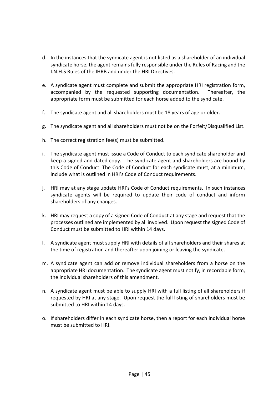- d. In the instances that the syndicate agent is not listed as a shareholder of an individual syndicate horse, the agent remains fully responsible under the Rules of Racing and the I.N.H.S Rules of the IHRB and under the HRI Directives.
- e. A syndicate agent must complete and submit the appropriate HRI registration form, accompanied by the requested supporting documentation. Thereafter, the appropriate form must be submitted for each horse added to the syndicate.
- f. The syndicate agent and all shareholders must be 18 years of age or older.
- g. The syndicate agent and all shareholders must not be on the Forfeit/Disqualified List.
- h. The correct registration fee(s) must be submitted.
- i. The syndicate agent must issue a Code of Conduct to each syndicate shareholder and keep a signed and dated copy. The syndicate agent and shareholders are bound by this Code of Conduct. The Code of Conduct for each syndicate must, at a minimum, include what is outlined in HRI's Code of Conduct requirements.
- j. HRI may at any stage update HRI's Code of Conduct requirements. In such instances syndicate agents will be required to update their code of conduct and inform shareholders of any changes.
- k. HRI may request a copy of a signed Code of Conduct at any stage and request that the processes outlined are implemented by all involved. Upon request the signed Code of Conduct must be submitted to HRI within 14 days.
- l. A syndicate agent must supply HRI with details of all shareholders and their shares at the time of registration and thereafter upon joining or leaving the syndicate.
- m. A syndicate agent can add or remove individual shareholders from a horse on the appropriate HRI documentation. The syndicate agent must notify, in recordable form, the individual shareholders of this amendment.
- n. A syndicate agent must be able to supply HRI with a full listing of all shareholders if requested by HRI at any stage. Upon request the full listing of shareholders must be submitted to HRI within 14 days.
- o. If shareholders differ in each syndicate horse, then a report for each individual horse must be submitted to HRI.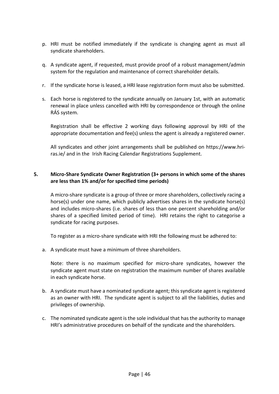- p. HRI must be notified immediately if the syndicate is changing agent as must all syndicate shareholders.
- q. A syndicate agent, if requested, must provide proof of a robust management/admin system for the regulation and maintenance of correct shareholder details.
- r. If the syndicate horse is leased, a HRI lease registration form must also be submitted.
- s. Each horse is registered to the syndicate annually on January 1st, with an automatic renewal in place unless cancelled with HRI by correspondence or through the online RÁS system.

Registration shall be effective 2 working days following approval by HRI of the appropriate documentation and fee(s) unless the agent is already a registered owner.

All syndicates and other joint arrangements shall be published on [https://www.hri](https://www.hri-ras.ie/)[ras.ie/](https://www.hri-ras.ie/) and in the Irish Racing Calendar Registrations Supplement.

#### **5. Micro-Share Syndicate Owner Registration (3+ persons in which some of the shares are less than 1% and/or for specified time periods)**

A micro-share syndicate is a group of three or more shareholders, collectively racing a horse(s) under one name, which publicly advertises shares in the syndicate horse(s) and includes micro-shares (i.e. shares of less than one percent shareholding and/or shares of a specified limited period of time). HRI retains the right to categorise a syndicate for racing purposes.

To register as a micro-share syndicate with HRI the following must be adhered to:

a. A syndicate must have a minimum of three shareholders.

Note: there is no maximum specified for micro-share syndicates, however the syndicate agent must state on registration the maximum number of shares available in each syndicate horse.

- b. A syndicate must have a nominated syndicate agent; this syndicate agent is registered as an owner with HRI. The syndicate agent is subject to all the liabilities, duties and privileges of ownership.
- c. The nominated syndicate agent is the sole individual that has the authority to manage HRI's administrative procedures on behalf of the syndicate and the shareholders.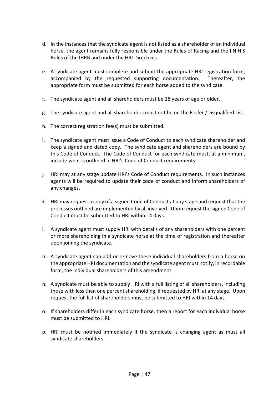- d. In the instances that the syndicate agent is not listed as a shareholder of an individual horse, the agent remains fully responsible under the Rules of Racing and the I.N.H.S Rules of the IHRB and under the HRI Directives.
- e. A syndicate agent must complete and submit the appropriate HRI registration form, accompanied by the requested supporting documentation. Thereafter, the appropriate form must be submitted for each horse added to the syndicate.
- f. The syndicate agent and all shareholders must be 18 years of age or older.
- g. The syndicate agent and all shareholders must not be on the Forfeit/Disqualified List.
- h. The correct registration fee(s) must be submitted.
- i. The syndicate agent must issue a Code of Conduct to each syndicate shareholder and keep a signed and dated copy. The syndicate agent and shareholders are bound by this Code of Conduct. The Code of Conduct for each syndicate must, at a minimum, include what is outlined in HRI's Code of Conduct requirements.
- j. HRI may at any stage update HRI's Code of Conduct requirements. In such instances agents will be required to update their code of conduct and inform shareholders of any changes.
- k. HRI may request a copy of a signed Code of Conduct at any stage and request that the processes outlined are implemented by all involved. Upon request the signed Code of Conduct must be submitted to HRI within 14 days.
- l. A syndicate agent must supply HRI with details of any shareholders with one percent or more shareholding in a syndicate horse at the time of registration and thereafter upon joining the syndicate.
- m. A syndicate agent can add or remove these individual shareholders from a horse on the appropriate HRI documentation and the syndicate agent must notify, in recordable form, the individual shareholders of this amendment.
- n. A syndicate must be able to supply HRI with a full listing of all shareholders, including those with less than one percent shareholding, if requested by HRI at any stage. Upon request the full list of shareholders must be submitted to HRI within 14 days.
- o. If shareholders differ in each syndicate horse, then a report for each individual horse must be submitted to HRI.
- p. HRI must be notified immediately if the syndicate is changing agent as must all syndicate shareholders.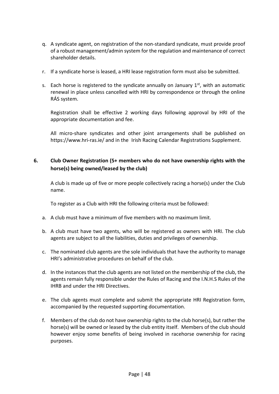- q. A syndicate agent, on registration of the non-standard syndicate, must provide proof of a robust management/admin system for the regulation and maintenance of correct shareholder details.
- r. If a syndicate horse is leased, a HRI lease registration form must also be submitted.
- s. Each horse is registered to the syndicate annually on January  $1<sup>st</sup>$ , with an automatic renewal in place unless cancelled with HRI by correspondence or through the online RÁS system.

Registration shall be effective 2 working days following approval by HRI of the appropriate documentation and fee.

All micro-share syndicates and other joint arrangements shall be published on <https://www.hri-ras.ie/> and in the Irish Racing Calendar Registrations Supplement.

#### **6. Club Owner Registration (5+ members who do not have ownership rights with the horse(s) being owned/leased by the club)**

A club is made up of five or more people collectively racing a horse(s) under the Club name.

To register as a Club with HRI the following criteria must be followed:

- a. A club must have a minimum of five members with no maximum limit.
- b. A club must have two agents, who will be registered as owners with HRI. The club agents are subject to all the liabilities, duties and privileges of ownership.
- c. The nominated club agents are the sole individuals that have the authority to manage HRI's administrative procedures on behalf of the club.
- d. In the instances that the club agents are not listed on the membership of the club, the agents remain fully responsible under the Rules of Racing and the I.N.H.S Rules of the IHRB and under the HRI Directives.
- e. The club agents must complete and submit the appropriate HRI Registration form, accompanied by the requested supporting documentation.
- f. Members of the club do not have ownership rights to the club horse(s), but rather the horse(s) will be owned or leased by the club entity itself. Members of the club should however enjoy some benefits of being involved in racehorse ownership for racing purposes.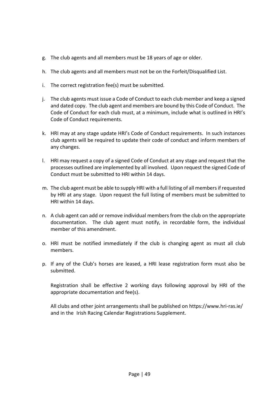- g. The club agents and all members must be 18 years of age or older.
- h. The club agents and all members must not be on the Forfeit/Disqualified List.
- i. The correct registration fee(s) must be submitted.
- j. The club agents must issue a Code of Conduct to each club member and keep a signed and dated copy. The club agent and members are bound by this Code of Conduct. The Code of Conduct for each club must, at a minimum, include what is outlined in HRI's Code of Conduct requirements.
- k. HRI may at any stage update HRI's Code of Conduct requirements. In such instances club agents will be required to update their code of conduct and inform members of any changes.
- l. HRI may request a copy of a signed Code of Conduct at any stage and request that the processes outlined are implemented by all involved. Upon request the signed Code of Conduct must be submitted to HRI within 14 days.
- m. The club agent must be able to supply HRI with a full listing of all members if requested by HRI at any stage. Upon request the full listing of members must be submitted to HRI within 14 days.
- n. A club agent can add or remove individual members from the club on the appropriate documentation. The club agent must notify, in recordable form, the individual member of this amendment.
- o. HRI must be notified immediately if the club is changing agent as must all club members.
- p. If any of the Club's horses are leased, a HRI lease registration form must also be submitted.

Registration shall be effective 2 working days following approval by HRI of the appropriate documentation and fee(s).

All clubs and other joint arrangements shall be published on<https://www.hri-ras.ie/> and in the Irish Racing Calendar Registrations Supplement.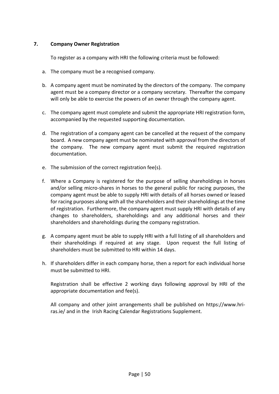#### **7. Company Owner Registration**

To register as a company with HRI the following criteria must be followed:

- a. The company must be a recognised company.
- b. A company agent must be nominated by the directors of the company. The company agent must be a company director or a company secretary. Thereafter the company will only be able to exercise the powers of an owner through the company agent.
- c. The company agent must complete and submit the appropriate HRI registration form, accompanied by the requested supporting documentation.
- d. The registration of a company agent can be cancelled at the request of the company board. A new company agent must be nominated with approval from the directors of the company. The new company agent must submit the required registration documentation.
- e. The submission of the correct registration fee(s).
- f. Where a Company is registered for the purpose of selling shareholdings in horses and/or selling micro-shares in horses to the general public for racing purposes, the company agent must be able to supply HRI with details of all horses owned or leased for racing purposes along with all the shareholders and their shareholdings at the time of registration. Furthermore, the company agent must supply HRI with details of any changes to shareholders, shareholdings and any additional horses and their shareholders and shareholdings during the company registration.
- g. A company agent must be able to supply HRI with a full listing of all shareholders and their shareholdings if required at any stage. Upon request the full listing of shareholders must be submitted to HRI within 14 days.
- h. If shareholders differ in each company horse, then a report for each individual horse must be submitted to HRI.

Registration shall be effective 2 working days following approval by HRI of the appropriate documentation and fee(s).

All company and other joint arrangements shall be published on [https://www.hri](https://www.hri-ras.ie/)[ras.ie/](https://www.hri-ras.ie/) and in the Irish Racing Calendar Registrations Supplement.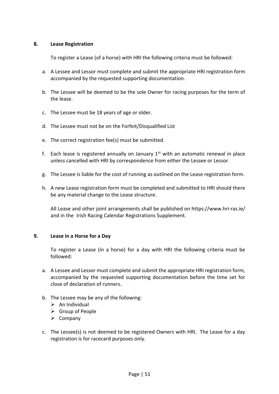#### **8. Lease Registration**

To register a Lease (of a horse) with HRI the following criteria must be followed:

- a. A Lessee and Lessor must complete and submit the appropriate HRI registration form accompanied by the requested supporting documentation.
- b. The Lessee will be deemed to be the sole Owner for racing purposes for the term of the lease.
- c. The Lessee must be 18 years of age or older.
- d. The Lessee must not be on the Forfeit/Disqualified List
- e. The correct registration fee(s) must be submitted.
- f. Each lease is registered annually on January  $1<sup>st</sup>$  with an automatic renewal in place unless cancelled with HRI by correspondence from either the Lessee or Lessor.
- g. The Lessee is liable for the cost of running as outlined on the Lease registration form.
- h. A new Lease registration form must be completed and submitted to HRI should there be any material change to the Lease structure.

All Lease and other joint arrangements shall be published on<https://www.hri-ras.ie/> and in the Irish Racing Calendar Registrations Supplement.

#### **9. Lease in a Horse for a Day**

To register a Lease (in a horse) for a day with HRI the following criteria must be followed:

- a. A Lessee and Lessor must complete and submit the appropriate HRI registration form, accompanied by the requested supporting documentation before the time set for close of declaration of runners.
- b. The Lessee may be any of the following:
	- $\triangleright$  An Individual
	- ➢ Group of People
	- ➢ Company
- c. The Lessee(s) is not deemed to be registered Owners with HRI. The Lease for a day registration is for racecard purposes only.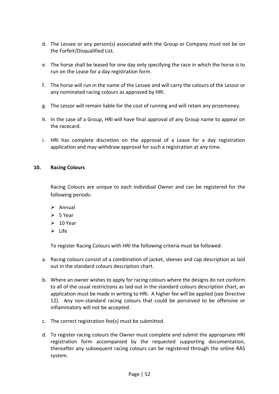- d. The Lessee or any person(s) associated with the Group or Company must not be on the Forfeit/Disqualified List.
- e. The horse shall be leased for one day only specifying the race in which the horse is to run on the Lease for a day registration form.
- f. The horse will run in the name of the Lessee and will carry the colours of the Lessor or any nominated racing colours as approved by HRI.
- g. The Lessor will remain liable for the cost of running and will retain any prizemoney.
- h. In the case of a Group, HRI will have final approval of any Group name to appear on the racecard.
- i. HRI has complete discretion on the approval of a Lease for a day registration application and may withdraw approval for such a registration at any time.

#### **10. Racing Colours**

Racing Colours are unique to each individual Owner and can be registered for the following periods:

- ➢ Annual
- $> 5$  Year
- $\geq 10$  Year
- ➢ Life

To register Racing Colours with HRI the following criteria must be followed:

- a. Racing colours consist of a combination of jacket, sleeves and cap description as laid out in the standard colours description chart.
- b. Where an owner wishes to apply for racing colours where the designs do not conform to all of the usual restrictions as laid out in the standard colours description chart, an application must be made in writing to HRI. A higher fee will be applied (see Directive 12). Any non-standard racing colours that could be perceived to be offensive or inflammatory will not be accepted.
- c. The correct registration fee(s) must be submitted.
- d. To register racing colours the Owner must complete and submit the appropriate HRI registration form accompanied by the requested supporting documentation, thereafter any subsequent racing colours can be registered through the online RÁS system.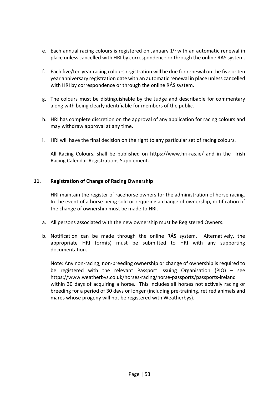- e. Each annual racing colours is registered on January  $1<sup>st</sup>$  with an automatic renewal in place unless cancelled with HRI by correspondence or through the online RÁS system.
- f. Each five/ten year racing colours registration will be due for renewal on the five or ten year anniversary registration date with an automatic renewal in place unless cancelled with HRI by correspondence or through the online RÁS system.
- g. The colours must be distinguishable by the Judge and describable for commentary along with being clearly identifiable for members of the public.
- h. HRI has complete discretion on the approval of any application for racing colours and may withdraw approval at any time.
- i. HRI will have the final decision on the right to any particular set of racing colours.

All Racing Colours, shall be published on<https://www.hri-ras.ie/> and in the Irish Racing Calendar Registrations Supplement.

#### **11. Registration of Change of Racing Ownership**

HRI maintain the register of racehorse owners for the administration of horse racing. In the event of a horse being sold or requiring a change of ownership, notification of the change of ownership must be made to HRI.

- a. All persons associated with the new ownership must be Registered Owners.
- b. Notification can be made through the online RÁS system. Alternatively, the appropriate HRI form(s) must be submitted to HRI with any supporting documentation.

Note: Any non-racing, non-breeding ownership or change of ownership is required to be registered with the relevant Passport Issuing Organisation (PIO) – see <https://www.weatherbys.co.uk/horses-racing/horse-passports/passports-ireland> within 30 days of acquiring a horse. This includes all horses not actively racing or breeding for a period of 30 days or longer (including pre-training, retired animals and mares whose progeny will not be registered with Weatherbys).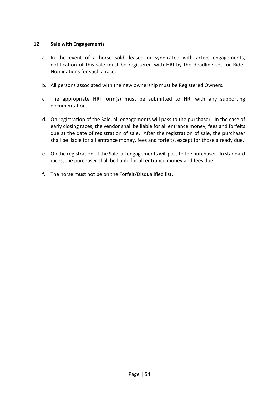#### **12. Sale with Engagements**

- a. In the event of a horse sold, leased or syndicated with active engagements, notification of this sale must be registered with HRI by the deadline set for Rider Nominations for such a race.
- b. All persons associated with the new ownership must be Registered Owners.
- c. The appropriate HRI form(s) must be submitted to HRI with any supporting documentation.
- d. On registration of the Sale, all engagements will pass to the purchaser. In the case of early closing races, the vendor shall be liable for all entrance money, fees and forfeits due at the date of registration of sale. After the registration of sale, the purchaser shall be liable for all entrance money, fees and forfeits, except for those already due.
- e. On the registration of the Sale, all engagements will pass to the purchaser. In standard races, the purchaser shall be liable for all entrance money and fees due.
- f. The horse must not be on the Forfeit/Disqualified list.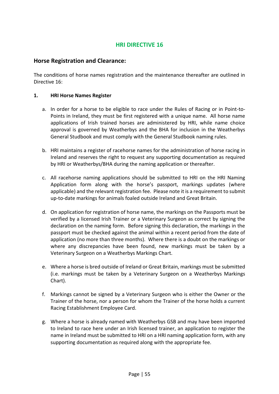#### **Horse Registration and Clearance:**

The conditions of horse names registration and the maintenance thereafter are outlined in Directive 16:

#### **1. HRI Horse Names Register**

- a. In order for a horse to be eligible to race under the Rules of Racing or in Point-to-Points in Ireland, they must be first registered with a unique name. All horse name applications of Irish trained horses are administered by HRI, while name choice approval is governed by Weatherbys and the BHA for inclusion in the Weatherbys General Studbook and must comply with the General Studbook naming rules.
- b. HRI maintains a register of racehorse names for the administration of horse racing in Ireland and reserves the right to request any supporting documentation as required by HRI or Weatherbys/BHA during the naming application or thereafter.
- c. All racehorse naming applications should be submitted to HRI on the HRI Naming Application form along with the horse's passport, markings updates (where applicable) and the relevant registration fee. Please note it is a requirement to submit up-to-date markings for animals foaled outside Ireland and Great Britain.
- d. On application for registration of horse name, the markings on the Passports must be verified by a licensed Irish Trainer or a Veterinary Surgeon as correct by signing the declaration on the naming form. Before signing this declaration, the markings in the passport must be checked against the animal within a recent period from the date of application (no more than three months). Where there is a doubt on the markings or where any discrepancies have been found, new markings must be taken by a Veterinary Surgeon on a Weatherbys Markings Chart.
- e. Where a horse is bred outside of Ireland or Great Britain, markings must be submitted (i.e. markings must be taken by a Veterinary Surgeon on a Weatherbys Markings Chart).
- f. Markings cannot be signed by a Veterinary Surgeon who is either the Owner or the Trainer of the horse, nor a person for whom the Trainer of the horse holds a current Racing Establishment Employee Card.
- g. Where a horse is already named with Weatherbys GSB and may have been imported to Ireland to race here under an Irish licensed trainer, an application to register the name in Ireland must be submitted to HRI on a HRI naming application form, with any supporting documentation as required along with the appropriate fee.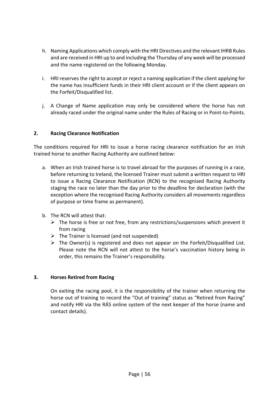- h. Naming Applications which comply with the HRI Directives and the relevant IHRB Rules and are received in HRI up to and including the Thursday of any week will be processed and the name registered on the following Monday.
- i. HRI reserves the right to accept or reject a naming application if the client applying for the name has insufficient funds in their HRI client account or if the client appears on the Forfeit/Disqualified list.
- j. A Change of Name application may only be considered where the horse has not already raced under the original name under the Rules of Racing or in Point-to-Points.

#### **2. Racing Clearance Notification**

The conditions required for HRI to issue a horse racing clearance notification for an Irish trained horse to another Racing Authority are outlined below:

- a. When an Irish trained horse is to travel abroad for the purposes of running in a race, before returning to Ireland, the licensed Trainer must submit a written request to HRI to issue a Racing Clearance Notification (RCN) to the recognised Racing Authority staging the race no later than the day prior to the deadline for declaration (with the exception where the recognised Racing Authority considers all movements regardless of purpose or time frame as permanent).
- b. The RCN will attest that:
	- $\triangleright$  The horse is free or not free, from any restrictions/suspensions which prevent it from racing
	- $\triangleright$  The Trainer is licensed (and not suspended)
	- $\triangleright$  The Owner(s) is registered and does not appear on the Forfeit/Disqualified List. Please note the RCN will not attest to the horse's vaccination history being in order, this remains the Trainer's responsibility.

#### **3. Horses Retired from Racing**

On exiting the racing pool, it is the responsibility of the trainer when returning the horse out of training to record the "Out of training" status as "Retired from Racing" and notify HRI via the RÁS online system of the next keeper of the horse (name and contact details).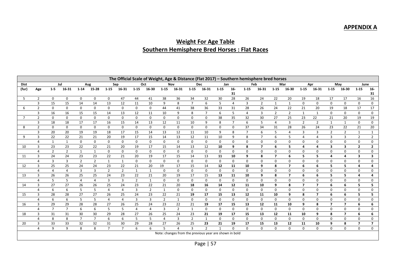## **APPENDIX A**

## **Weight For Age Table Southern Hemisphere Bred Horses : Flat Races**

|                | The Official Scale of Weight, Age & Distance (Flat 2017) - Southern hemisphere bred horses |                |                |                |                |                |                |                |                |                |                         |                |                                                        |              |                |                |                         |                |                          |                |                |                |                |                         |                         |
|----------------|--------------------------------------------------------------------------------------------|----------------|----------------|----------------|----------------|----------------|----------------|----------------|----------------|----------------|-------------------------|----------------|--------------------------------------------------------|--------------|----------------|----------------|-------------------------|----------------|--------------------------|----------------|----------------|----------------|----------------|-------------------------|-------------------------|
| <b>Dist</b>    |                                                                                            |                | Jul            |                | Aug            |                | Sep            |                | Oct            |                | Nov                     |                | <b>Dec</b>                                             | Jan          |                |                | Feb                     |                | Mar                      |                | Apr            |                | May            | June                    |                         |
| (fur)          | Age                                                                                        | $1-5$          | 16-31          | $1 - 14$       | 15-28          | $1 - 15$       | 16-31          | $1 - 15$       | 16-30          | $1 - 15$       | 16 31                   | $1 - 15$       | 16-31                                                  | 1 1 5        | $16-$          | $1 - 15$       | 16-31                   | $1 - 15$       | 16-30                    | 1.15           | 16-31          | $1 - 15$       | 16-30          | $1 - 15$                | $16-$                   |
|                |                                                                                            |                |                |                |                |                |                |                |                |                |                         |                |                                                        |              | 31             |                |                         |                |                          |                |                |                |                |                         | 31                      |
| 5              | $\overline{2}$                                                                             | $\mathbf 0$    | $\mathbf 0$    | 0              | 0              | 0              | 47             | 44             | 41             | 38             | 36                      | 34             | 32                                                     | 30           | 28             | 26             | 24                      | 22             | 20                       | 19             | 18             | 17             | 17             | 16                      | 16                      |
|                | 3                                                                                          | 15             | 15             | 14             | 14             | 13             | 12             | 11             | 10             | 9              | 8                       | $\overline{7}$ | 6                                                      | 5            | $\overline{4}$ | $\overline{3}$ | $\overline{2}$          | $\mathbf{1}$   | $\mathbf{1}$             | $\mathbf 0$    | 0              | $\mathbf 0$    | $\mathbf 0$    | $\mathsf 0$             | $\mathbf 0$             |
| 6              | $\overline{2}$                                                                             | 0              | $\mathbf 0$    | 0              | $\mathbf 0$    | 0              | 0              | 0              | 0              | 44             | 41                      | 38             | 36                                                     | 33           | 31             | 28             | 26                      | 24             | 22                       | 21             | 20             | 19             | 18             | 17                      | 17                      |
|                | 3                                                                                          | 16             | 16             | 15             | 15             | 14             | 13             | 12             | 11             | 10             | 9                       | 8              | $\overline{7}$                                         | 6            | 5              | $\overline{4}$ | 3                       | $\overline{2}$ | $\overline{2}$           |                | 1              | 0              | 0              | 0                       | 0                       |
| $\overline{7}$ | $\overline{2}$                                                                             | 0              | $\mathbf 0$    | 0              | 0              | 0              | 0              | 0              | 0              | 0              | $\mathbf 0$             | 0              | 0                                                      | 38           | 35             | 32             | 30                      | 27             | 25                       | 23             | 22             | 21             | 20             | 19                      | 19                      |
|                | 3                                                                                          | 18             | 18             | 17             | 17             | 16             | 15             | 14             | 13             | 12             | 11                      | 10             | 9                                                      | 8            | $\overline{7}$ | 6              | 5                       | $\overline{4}$ | 3                        | $\overline{2}$ | $\overline{2}$ | $\mathbf{1}$   | 1              | 0                       | 0                       |
| 8              | $\overline{2}$                                                                             | 0              | $\mathbf 0$    | 0              | $\mathbf 0$    | 0              | 0              | $\mathbf 0$    | $\mathbf 0$    | $\mathsf{O}$   | $\mathbf 0$             | 0              | 0                                                      | 0            | 0              | 37             | 34                      | 31             | 28                       | 26             | 24             | 23             | 22             | 21                      | 20                      |
|                | 3                                                                                          | 20             | 20             | 19             | 19             | 18             | 17             | 15             | 14             | 13             | 12                      | 11             | 10                                                     | 9            | 8              | $\overline{7}$ | 6                       | 5              | 4                        | 3              | 3              | $\overline{2}$ | $\overline{2}$ | $\mathbf{1}$            | 1                       |
| 9              | 3                                                                                          | 22             | 22             | 21             | 21             | 20             | 19             | 17             | 15             | 14             | 13                      | 12             | 11                                                     | 10           | 9              | 8              | $\overline{7}$          | 6              | 5                        | 4              | 4              | 3              | 3              | $\overline{2}$          | $\overline{2}$          |
|                | 4                                                                                          | 1              | 1              | 0              | 0              | 0              | $\mathbf{0}$   | 0              | $\mathbf 0$    | 0              | 0                       | 0              | 0                                                      | 0            | 0              | 0              | 0                       | 0              | 0                        | 0              | 0              | 0              | 0              | 0                       | 0                       |
| 10             | 3                                                                                          | 23             | 23             | 22             | 22             | 21             | 20             | 19             | 17             | 15             | 14                      | 13             | 12                                                     | 10           | 9              | 8              | $\overline{\mathbf{z}}$ | 6              | 5                        | 4              | 4              | 3              | 3              | $\overline{2}$          | $\mathbf{2}$            |
|                | 4                                                                                          | $\overline{2}$ | $\overline{2}$ | 1              | $\mathbf{1}$   | 0              | 0              | $\mathbf 0$    | $\mathbf 0$    | $\mathbf 0$    | $\mathbf 0$             | $\mathbf 0$    | 0                                                      | 0            | $\mathbf 0$    | 0              | 0                       | $\mathbf 0$    | 0                        | $\mathbf 0$    | 0              | 0              | $\mathbf 0$    | $\mathbf 0$             | 0                       |
| 11             | 3                                                                                          | 24             | 24             | 23             | 23             | 22             | 21             | 20             | 19             | 17             | 15                      | 14             | 13                                                     | 11           | 10             | 9              | 8                       | $\overline{7}$ | 6                        | 5              | 5              | 4              | 4              | 3                       | 3                       |
|                | 4                                                                                          | $\overline{3}$ | $\overline{3}$ | $\overline{2}$ | $\overline{2}$ | 1              | 1              | $\mathbf 0$    | $\mathbf 0$    | $\mathbf 0$    | $\mathbf 0$             | $\mathbf 0$    | 0                                                      | $\mathbf 0$  | $\mathbf 0$    | 0              | $\mathbf 0$             | $\mathbf 0$    | 0                        | $\mathbf 0$    | 0              | 0              | 0              | $\mathbf 0$             | $\mathbf 0$             |
| 12             | 3                                                                                          | 25             | 25             | 24             | 24             | 23             | 22             | 21             | 20             | 19             | 17                      | 15             | 14                                                     | 12           | 11             | 10             | 9                       | 8              | $\overline{\phantom{a}}$ | 6              | 6              | 5              | 5              | 4                       | 4                       |
|                | 4                                                                                          | $\overline{4}$ | $\overline{4}$ | 3              | 3              | $\overline{2}$ | $\overline{2}$ | 1              | $\mathbf{1}$   | 0              | 0                       | 0              | 0                                                      | 0            | $\mathbf 0$    | 0              | 0                       | $\mathbf 0$    | 0                        | 0              | 0              | 0              | 0              | 0                       | 0                       |
| 13             | 3                                                                                          | 26             | 26             | 25             | 25             | 24             | 23             | 22             | 21             | 20             | 19                      | 17             | 15                                                     | 13           | 11             | 10             | 9                       | 8              | $\overline{7}$           | 6              | 6              | 5              | 5              | 4                       | 4                       |
|                | 4                                                                                          | 5              | 5              | 4              | 4              | 3              | 3              | $\overline{2}$ | $\mathbf{1}$   | 0              | 0                       | 0              | 0                                                      | 0            | $\mathbf 0$    | 0              | 0                       | $\mathbf 0$    | 0                        | 0              | 0              | 0              | $\mathbf 0$    | 0                       | 0                       |
| 14             | 3                                                                                          | 27             | 27             | 26             | 26             | 25             | 24             | 23             | 22             | 21             | 20                      | 18             | 16                                                     | 14           | 12             | 11             | 10                      | 9              | 8                        | $\overline{7}$ | $\overline{7}$ | 6              | 6              | 5                       | 5                       |
|                | 4                                                                                          | 6              | 6              | 5              | 5              | $\overline{4}$ | 4              | $\overline{3}$ | $\overline{2}$ | $\mathbf{1}$   | 0                       | $\mathbf 0$    | $\mathbf 0$                                            | 0            | 0              | 0              | 0                       | 0              | 0                        | 0              | 0              | 0              | 0              | 0                       | 0                       |
| 15             | 3                                                                                          | 28             | 28             | 27             | 27             | 26             | 25             | 24             | 23             | 22             | 21                      | 19             | 17                                                     | 15           | 13             | 12             | 11                      | 10             | 9                        | 8              | $\overline{7}$ | 6              | 6              | 5                       | 5                       |
|                | 4                                                                                          | 6              | 6              | 5              | 5              | 4              | 4              | $\overline{3}$ | 3              | $\overline{2}$ | 1                       | $\mathbf 0$    | 0                                                      | $\mathbf 0$  | $\mathbf 0$    | $\Omega$       | $\mathbf 0$             | $\mathbf 0$    | $\mathbf 0$              | 0              | 0              | 0              | 0              | 0                       | 0                       |
| 16             | 3                                                                                          | 29             | 29             | 28             | 28             | 27             | 26             | 25             | 24             | 23             | 22                      | 21             | 19                                                     | 17           | 15             | 13             | 12                      | 11             | 10                       | 9              | 8              | $\overline{7}$ | $\overline{7}$ | 6                       | 6                       |
|                | 4                                                                                          | $\overline{7}$ | $\overline{7}$ | 6              | 6              | 5              | 5              | $\overline{4}$ | $\overline{4}$ | 3              | $\overline{2}$          | 1              | 0                                                      | 0            | $\mathbf 0$    | $\mathbf 0$    | 0                       | 0              | 0                        | 0              | 0              | 0              | 0              | 0                       | 0                       |
| 18             | 3                                                                                          | 31             | 31             | 30             | 30             | 29             | 28             | 27             | 26             | 25             | 24                      | 23             | 21                                                     | 19           | 17             | 15             | 13                      | 12             | 11                       | 10             | 9              | 8              | $\overline{7}$ | 6                       | 6                       |
|                | 4                                                                                          | 8              | 8              | $\overline{7}$ | $\overline{7}$ | 6              | 6              | 5              | 5              | 4              | 3                       | $\overline{2}$ | $\mathbf{1}$                                           | 0            | $\mathbf 0$    | 0              | 0                       | $\mathbf 0$    | 0                        | 0              | 0              | 0              | 0              | 0                       | 0                       |
| 20             | 3                                                                                          | 33             | 33             | 32             | 32             | 31             | 30             | 29             | 28             | 27             | 26                      | 25             | 23                                                     | 21           | 19             | 17             | 15                      | 13             | 12                       | 11             | 10             | 9              | 8              | $\overline{\mathbf{z}}$ | $\overline{\mathbf{z}}$ |
|                | 4                                                                                          | 9              | 9              | 8              | 8              | $\overline{7}$ | $\overline{7}$ | 6              | 6              | $\overline{5}$ | $\overline{\mathbf{A}}$ | $\mathbf{3}$   | $\overline{2}$                                         | $\mathbf{1}$ | $\mathbf 0$    | 0              | 0                       | $\mathbf 0$    | 0                        | $\mathbf 0$    | 0              | 0              | 0              | 0                       | 0                       |
|                |                                                                                            |                |                |                |                |                |                |                |                |                |                         |                | Note: changes from the previous year are shown in bold |              |                |                |                         |                |                          |                |                |                |                |                         |                         |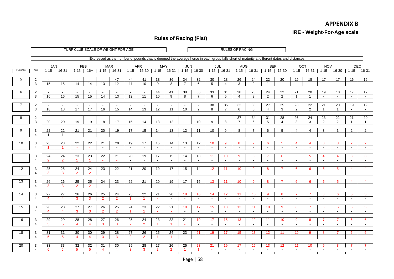## **APPENDIX B**

**IRE - Weight-For-Age scale**

#### **Rules of Racing (Flat)**

|          |                               |                                |                           |                          |                           |                                   | TURF CLUB SCALE OF WEIGHT FOR AGE |                                             |                                             |                           |                          |                                |                                |                       |                           | <b>RULES OF RACING</b>    |                           |                                             |                                                                                                                                           |                      |                               |                                   |                               |                                             |                               |
|----------|-------------------------------|--------------------------------|---------------------------|--------------------------|---------------------------|-----------------------------------|-----------------------------------|---------------------------------------------|---------------------------------------------|---------------------------|--------------------------|--------------------------------|--------------------------------|-----------------------|---------------------------|---------------------------|---------------------------|---------------------------------------------|-------------------------------------------------------------------------------------------------------------------------------------------|----------------------|-------------------------------|-----------------------------------|-------------------------------|---------------------------------------------|-------------------------------|
|          |                               |                                |                           |                          |                           |                                   |                                   |                                             |                                             |                           |                          |                                |                                |                       |                           |                           |                           |                                             | Expressed as the number of pounds that is deemed the average horse in each group falls short of maturity at different dates and distances |                      |                               |                                   |                               |                                             |                               |
|          |                               | <b>JAN</b>                     |                           | FEB                      |                           | <b>MAR</b>                        |                                   |                                             | <b>APR</b>                                  | MAY                       |                          | <b>JUN</b>                     |                                | JUL                   |                           | AUG                       |                           | <b>SEP</b>                                  |                                                                                                                                           | OCT                  |                               | <b>NOV</b>                        |                               | DEC                                         |                               |
| Furlongs | Age                           | $1 - 15$                       | 16-31                     | $1 - 15$                 | $16+$                     | $1 - 15$                          | $16 - 31$                         | $1 - 15$                                    | $16 - 30$                                   | $1 - 15$                  | 16-31                    | $1 - 15$                       | $16 - 30$                      | $1 - 15$              | $16-31$                   | $1 - 15$                  | $16-31$                   | $1 - 15$                                    | $16 - 30$                                                                                                                                 | $1 - 15$             | $16-31$                       | $1 - 15$                          | $16 - 30$                     | $1 - 15$                                    | $16-31$                       |
| 5        |                               | $\overline{\phantom{a}}$       | $\sim$                    | $\sim$                   | $\sim$                    | $\sim$                            | 47                                | 44                                          |                                             | 38                        | 36                       | 34                             | 32                             |                       | 28                        | 26                        | 24                        | 22                                          | 20                                                                                                                                        | 19                   | 18                            | 17                                | 17                            | 16                                          | 16                            |
|          | 2<br>3                        | 15                             | 15                        | 14                       | 14                        | 13                                | 12                                | 11                                          | 41<br>10                                    | 9                         | 8                        | $\overline{7}$                 | 6                              | 30<br>$5\overline{)}$ | $\overline{4}$            | 3                         | $\overline{2}$            | $\overline{1}$                              | $\overline{1}$                                                                                                                            | $\sim$               | $\sim$                        | $\sim$                            | $\overline{\phantom{a}}$      | $\sim$                                      | $\sim$                        |
|          |                               |                                |                           |                          |                           |                                   |                                   |                                             |                                             |                           |                          |                                |                                |                       |                           |                           |                           |                                             |                                                                                                                                           |                      |                               |                                   |                               |                                             |                               |
| 6        | 2<br>3                        | $\overline{\phantom{a}}$<br>16 | $\overline{a}$<br>16      | $\sim$<br>15             | 15                        | $\overline{a}$<br>$\overline{14}$ | $\overline{\phantom{a}}$<br>13    | $\overline{\phantom{a}}$<br>$\overline{12}$ | $\overline{\phantom{a}}$<br>$\overline{11}$ | 44<br>10                  | 41<br>9                  | 38<br>8                        | 36<br>$\overline{7}$           | 33<br>6               | 31<br>5                   | 28<br>$\overline{4}$      | 26<br>3                   | 24<br>2                                     | 22<br>$\overline{2}$                                                                                                                      | 21<br>$\overline{1}$ | 20<br>$\overline{1}$          | 19<br>$\sim$                      | 18<br>$\sim$                  | 17<br>$\sim$                                | 17<br>$\sim$                  |
|          |                               |                                |                           |                          |                           |                                   |                                   |                                             |                                             |                           |                          |                                |                                |                       |                           |                           |                           |                                             |                                                                                                                                           |                      |                               |                                   |                               |                                             |                               |
| 7        | $\overline{2}$<br>3           | $\sim$<br>18                   | $\sim$<br>$\overline{18}$ | $\sim$<br>17             | $\sim$<br>$\overline{17}$ | $\sim$<br>16                      | $\sim$<br>15                      | $\sim$<br>$\overline{14}$                   | $\sim$<br>$\overline{13}$                   | $\sim$<br>$\overline{12}$ | $\sim$<br>11             | $\overline{\phantom{a}}$<br>10 | $\sim$<br>9                    | 38<br>8               | 35<br>$\overline{7}$      | 32<br>6                   | 30<br>5                   | 27<br>$\overline{4}$                        | 25<br>3                                                                                                                                   | 23<br>2              | 22<br>$\overline{2}$          | $\overline{21}$<br>$\overline{1}$ | 20<br>$\overline{1}$          | 19<br>$\sim$                                | 19<br>$\sim$                  |
|          |                               |                                |                           |                          |                           |                                   |                                   |                                             |                                             |                           |                          |                                |                                |                       |                           |                           |                           |                                             |                                                                                                                                           |                      |                               |                                   |                               |                                             |                               |
| 8        | $\overline{2}$                | $\overline{\phantom{a}}$       | $\overline{\phantom{a}}$  | $\overline{\phantom{a}}$ | $\sim$                    | $\sim$                            | $\overline{\phantom{a}}$          | $\sim$                                      | $\sim$                                      | $\overline{\phantom{a}}$  | $\overline{\phantom{a}}$ | $\overline{\phantom{a}}$       | $\sim$                         | $\sim$                | $\sim$                    | 37                        | 34                        | 31                                          | 28                                                                                                                                        | 26                   | 24                            | 23                                | 22                            | 21                                          | 20                            |
|          | 3                             | 20                             | 20                        | 19                       | 19                        | 18                                | $\overline{17}$                   | 15                                          | 14                                          | 13                        | 12                       | 11                             | 10                             | 9                     | 8                         | $\overline{7}$            | 6                         | 5                                           | $\overline{4}$                                                                                                                            | 3                    | 3                             | 2                                 | 2                             | $\overline{1}$                              | $\mathbf{1}$                  |
| 9        | 3                             | 22                             | 22                        | 21                       | 21                        | 20                                | 19                                | 17                                          | 15                                          | 14                        | 13                       | 12                             | 11                             | 10                    | 9                         | 8                         | $\overline{7}$            | 6                                           | 5                                                                                                                                         | 4                    | 4                             | 3                                 | 3                             | $\overline{2}$                              | $\overline{2}$                |
|          | $\Delta$                      |                                | $\overline{1}$            | $\sim$                   | $\sim$                    | $\sim$                            | $\overline{\phantom{a}}$          | $\blacksquare$                              | $\sim$                                      | $\overline{\phantom{a}}$  | $\sim$                   | $\sim$                         | $\sim$                         | $\sim$                | $\sim$                    | $\sim$                    | $\sim$                    | $\overline{\phantom{a}}$                    | $\sim$                                                                                                                                    | $\sim$               | $\overline{\phantom{a}}$      | $\overline{\phantom{a}}$          |                               | $\overline{\phantom{a}}$                    | $\overline{\phantom{a}}$      |
| 10       | 3                             | 23                             | 23                        | 22                       | 22                        | 21                                | 20                                | 19                                          | 17                                          | 15                        | 14                       | 13                             | 12                             | 10 <sup>°</sup>       | 9                         | 8                         |                           | 6                                           | 5                                                                                                                                         | 4                    | 4                             | 3                                 | 3                             | $\overline{2}$                              | $\overline{2}$                |
|          | $\overline{4}$                |                                | -1                        | $\sim$                   | a.                        | $\sim$                            | $\sim$                            | $\sim$                                      | $\sim$                                      | $\sim$                    | $\sim$                   | $\sim$                         | $\sim$                         | $\sim$                | $\sim$                    | $\sim$                    | $\overline{\phantom{a}}$  | $\sim$                                      | $\sim$                                                                                                                                    | $\sim$               | $\sim$                        | $\sim$                            | $\sim$                        | $\sim$                                      | $\sim$                        |
| 11       | 3                             | 24                             | 24                        | 23                       | 23                        | 22                                | 21                                | 20                                          | 19                                          | 17                        | 15                       | 14                             | 13                             | 11                    | 10 <sup>°</sup>           | 9                         | 8                         | 7                                           | 6                                                                                                                                         | $5^{\circ}$          | 5                             | $\overline{4}$                    | $\overline{4}$                | $\mathbf{3}$                                | $\mathbf{3}$                  |
|          | $\boldsymbol{\Delta}$         | $\overline{2}$                 | $\overline{2}$            | $\blacksquare$           | -1                        | $\sim$                            | $\sim$                            | $\sim$                                      | $\sim$                                      | $\sim$                    | $\sim$                   | $\sim$                         | $\sim$                         | $\sim$                | $\sim$                    | $\sim$                    | $\sim$                    | $\sim$                                      | $\sim$                                                                                                                                    | $\sim$               | $\sim$                        | $\sim$                            | $\sim$                        | $\sim$                                      | $\sim$                        |
| 12       | 3                             | 25                             | 25                        | 24                       | 24                        | 23                                | 22                                | 21                                          | 20                                          | 19                        | 17                       | 15                             | 14                             | 12                    | 11                        | 10                        | 9                         | 8                                           | $\overline{7}$                                                                                                                            | 6                    | 6                             | 5                                 | $5^{\circ}$                   | $\overline{4}$                              | $\overline{4}$                |
|          | 4                             | 3                              | 3                         | $\overline{2}$           | $\overline{2}$            | -1                                | $\overline{1}$                    | $\sim$                                      | o.                                          | $\overline{\phantom{a}}$  | $\sim$                   | $\sim$                         | $\sim$                         | $\sim$                | $\sim$                    | $\sim$                    | $\sim$                    | $\blacksquare$                              | $\overline{\phantom{a}}$                                                                                                                  | $\sim$               | $\overline{\phantom{a}}$      | $\overline{\phantom{a}}$          | $\overline{\phantom{a}}$      | $\sim$                                      | $\sim$                        |
| 13       | 3                             | 26                             | $\overline{26}$           | $\overline{25}$          | 25                        | 24                                | $\overline{23}$                   | $\overline{22}$                             | 21                                          | 20                        | 19                       | 17                             | 15                             | 13                    | 11                        | 10                        | 9                         | 8                                           |                                                                                                                                           | 6                    | 6                             | 5                                 | 5                             | $\overline{4}$                              |                               |
|          | $\overline{\Delta}$           | 3                              | $\mathbf{3}$              | $\overline{2}$           | $\overline{2}$            | $\blacktriangleleft$              | -1                                | $\sim$                                      | n.                                          | $\sim$                    | $\sim$                   | $\sim$                         | $\sim$                         | $\sim$                | $\sim$                    | $\sim$                    | $\sim$                    | $\sim$                                      | $\sim$                                                                                                                                    | $\sim$               | $\sim$                        | $\sim$                            | $\sim$                        | $\sim$                                      |                               |
|          |                               |                                | 27                        | 26                       |                           | 25                                | 24                                | 23                                          | 22                                          | 21                        | 20                       |                                |                                |                       |                           |                           |                           |                                             |                                                                                                                                           | 7                    | 7                             |                                   | 6                             |                                             |                               |
| 14       | 3<br>$\boldsymbol{\varDelta}$ | 27<br>$\overline{4}$           | $\overline{4}$            | 3                        | 26<br>$\mathbf{3}$        | $\overline{2}$                    | $\overline{2}$                    | $\blacktriangleleft$                        | $\overline{1}$                              | $\sim$                    | $\sim$                   | 18<br>$\sim$                   | 16<br>$\sim$                   | 14<br>$\sim$          | 12 <sup>°</sup><br>$\sim$ | 11<br>$\sim$              | 10<br>$\sim$              | 9<br>$\sim$                                 | 8<br>$\sim$                                                                                                                               | $\sim$               | $\sim$                        | 6<br>$\sim$                       | $\overline{\phantom{a}}$      | 5<br>$\sim$                                 | 5<br>$\sim$                   |
|          |                               |                                |                           |                          |                           |                                   |                                   |                                             |                                             |                           |                          |                                |                                |                       |                           |                           |                           |                                             |                                                                                                                                           |                      |                               |                                   |                               |                                             |                               |
| 15       | 3<br>$\boldsymbol{\Delta}$    | 28<br>$\overline{4}$           | 28<br>$\overline{4}$      | 27<br>3                  | 27<br>$\mathbf{3}$        | 26<br>$\overline{2}$              | 25<br>$\overline{2}$              | 24<br>$\overline{1}$                        | 23<br>$\overline{1}$                        | 22<br>$\sim$              | 21                       | 19<br>$\sim$                   | 17<br>$\sim$                   | 15<br>$\blacksquare$  | 13<br>$\blacksquare$      | 12 <sup>2</sup><br>$\sim$ | 11<br>$\sim$              | 10 <sup>°</sup><br>$\overline{\phantom{a}}$ | 9<br>$\sim$                                                                                                                               | 8<br>$\sim$          | $\overline{7}$<br>$\sim$      | 6<br>$\overline{\phantom{a}}$     | 6<br>$\overline{\phantom{a}}$ | $5\phantom{.0}$<br>$\sim$                   | $5^{\circ}$<br>$\sim$         |
|          |                               |                                |                           |                          |                           |                                   |                                   |                                             |                                             |                           |                          |                                |                                |                       |                           |                           |                           |                                             |                                                                                                                                           |                      |                               |                                   |                               |                                             |                               |
| 16       | 3                             | 29<br>5                        | 29<br>$\sqrt{5}$          | 28<br>4                  | 28<br>$\overline{4}$      | 27<br>3                           | 26<br>3                           | 25<br>$\overline{2}$                        | 24<br>$\overline{2}$                        | 23                        | 22                       | 21<br>$\sim$                   | 19<br>$\overline{\phantom{a}}$ | 17<br>$\sim$          | 15<br>$\sim$              | 13<br>$\sim$              | 12 <sup>2</sup><br>$\sim$ | 11<br>$\sim$                                | 10<br>$\sim$                                                                                                                              | 9<br>$\sim$          | 8<br>$\overline{\phantom{a}}$ | $\overline{\phantom{a}}$          | $\sim$                        | $6\phantom{1}6$<br>$\overline{\phantom{a}}$ | 6<br>$\overline{\phantom{a}}$ |
|          |                               |                                |                           |                          |                           |                                   |                                   |                                             |                                             |                           |                          |                                |                                |                       |                           |                           |                           |                                             |                                                                                                                                           |                      |                               |                                   |                               |                                             |                               |
| 18       | 3                             | 31                             | 31                        | 30                       | 30                        | 29                                | $\overline{28}$                   | 27                                          | 26                                          | 25                        | 24                       | 23                             | 21                             | 19                    | 17                        | 15                        | 13 <sup>°</sup>           | 12 <sup>2</sup>                             | 11                                                                                                                                        | 10 <sup>°</sup>      | 9                             | 8                                 |                               | 6                                           | 6                             |
|          | $\boldsymbol{\Delta}$         | 5                              | $5\overline{5}$           | $\overline{4}$           | $\overline{4}$            | $\mathbf{3}$                      | 3                                 | $\overline{2}$                              | $\overline{2}$                              | 1                         | -1                       | $\sim$                         | $\sim$                         | $\sim$                | $\sim$                    | $\sim$                    | $\sim$                    | $\sim$                                      | $\sim$                                                                                                                                    | $\sim$               | $\sim$                        | $\sim$                            | $\overline{\phantom{a}}$      | $\sim$                                      | $\sim$                        |
| 20       | 3                             | 33                             | 33                        | 32                       | 32                        | 31                                | 30                                | 29                                          | 28                                          | 27                        | 26                       | 25                             | 23                             | 21                    | 19                        | 17                        | 15                        | 13                                          | 12                                                                                                                                        |                      |                               |                                   |                               |                                             |                               |
|          | $\Delta$                      | 6                              | 6                         | 5                        | 5 <sup>5</sup>            | $\overline{4}$                    | 4                                 | 3                                           | 3                                           | $\overline{2}$            | $\overline{2}$           | $\overline{1}$                 | 1                              |                       |                           |                           |                           |                                             |                                                                                                                                           |                      |                               |                                   |                               |                                             |                               |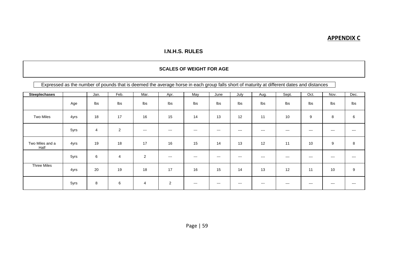#### **APPENDIX C**

#### **I.N.H.S. RULES**

#### **SCALES OF WEIGHT FOR AGE**

Expressed as the number of pounds that is deemed the average horse in each group falls short of maturity at different dates and distances

| <b>Steeplechases</b>    |      | Jan.           | Feb. | Mar.           | Apr.                   | May                    | June          | July          | Aug.  | Sept. | Oct.  | Nov.  | Dec.  |
|-------------------------|------|----------------|------|----------------|------------------------|------------------------|---------------|---------------|-------|-------|-------|-------|-------|
|                         | Age  | Ibs            | Ibs  | Ibs            | Ibs                    | Ibs                    | lbs           | Ibs           | Ibs   | Ibs   | lbs   | Ibs   | Ibs   |
| <b>Two Miles</b>        | 4yrs | 18             | 17   | 16             | 15                     | 14                     | 13            | 12            | 11    | 10    | 9     | 8     | 6     |
|                         | 5yrs | $\overline{4}$ | 2    | $\sim$ $\sim$  | $\qquad \qquad \cdots$ | $\frac{1}{2}$          | $- - -$       | $---$         | $---$ | $---$ | $---$ | $---$ | $--$  |
| Two Miles and a<br>Half | 4yrs | 19             | 18   | 17             | 16                     | 15                     | 14            | 13            | 12    | 11    | 10    | 9     | 8     |
|                         | 5yrs | 6              | 4    | $\overline{2}$ | $\qquad \qquad -$      | $\qquad \qquad \cdots$ | $- - -$       | $- - -$       | $---$ | $---$ | $---$ | $---$ | $---$ |
| <b>Three Miles</b>      | 4yrs | 20             | 19   | 18             | 17                     | 16                     | 15            | 14            | 13    | 12    | 11    | 10    | 9     |
|                         | 5yrs | 8              | 6    | $\overline{4}$ | 2                      | $\qquad \qquad \cdots$ | $\sim$ $\sim$ | $\sim$ $\sim$ | $--$  | $---$ | $---$ | $---$ | $---$ |

Page | 59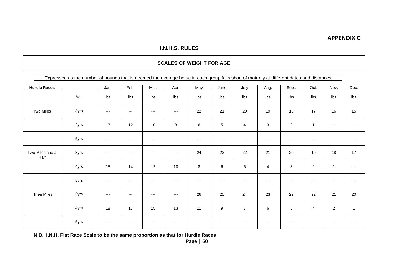#### **APPENDIX C**

#### **I.N.H.S. RULES**

#### **SCALES OF WEIGHT FOR AGE**

Expressed as the number of pounds that is deemed the average horse in each group falls short of maturity at different dates and distances

| <b>Hurdle Races</b>     |      | Jan.                     | Feb.  | Mar.                   | Apr.                    | May     | June  | July           | Aug.              | Sept.          | Oct.         | Nov.           | Dec.           |
|-------------------------|------|--------------------------|-------|------------------------|-------------------------|---------|-------|----------------|-------------------|----------------|--------------|----------------|----------------|
|                         | Age  | Ibs                      | Ibs   | Ibs                    | Ibs                     | Ibs     | Ibs   | lbs            | $\mathsf{lbs}$    | Ibs            | Ibs          | Ibs            | $\mathsf{lbs}$ |
| Two Miles               | 3yrs | $\qquad \qquad - -$      | $---$ | $---$                  | $---$                   | 22      | 21    | 20             | 19                | 18             | 17           | 16             | 15             |
|                         | 4yrs | 13                       | 12    | 10                     | $\bf 8$                 | $\,6\,$ | 5     | 4              | 3                 | $\overline{2}$ | $\mathbf{1}$ | $---$          | $---$          |
|                         | 5yrs | $---$                    | $---$ | $---$                  | $---$                   | $---$   | $---$ | $---$          | $---$             | $---$          | $---$        | $---$          | $---$          |
| Two Miles and a<br>Half | 3yrs | $---$                    | $---$ | $\qquad \qquad \cdots$ | $---$                   | 24      | 23    | 22             | 21                | 20             | 19           | 18             | 17             |
|                         | 4yrs | 15                       | 14    | 12                     | 10                      | $\,8\,$ | 6     | $\,$ 5 $\,$    | $\overline{4}$    | 3              | $\sqrt{2}$   |                | $---$          |
|                         | 5yrs | $---$                    | $---$ | $---$                  | $\qquad \qquad -\qquad$ | $---$   | $---$ | $---$          | $\qquad \qquad -$ | $---$          | $---$        | $---$          | $---$          |
| Three Miles             | 3yrs | $\hspace{0.05cm} \ldots$ | $---$ | $---$                  | $---$                   | 26      | 25    | 24             | 23                | 22             | 22           | 21             | 20             |
|                         | 4yrs | 18                       | 17    | 15                     | 13                      | 11      | 9     | $\overline{7}$ | $\,6$             | 5              | 4            | $\overline{c}$ | $\overline{1}$ |
|                         | 5yrs | $---$                    | $---$ | $---$                  | $---$                   | $---$   | $---$ | $---$          | $---$             | $---$          | $---$        | $---$          | $---$          |

**N.B. I.N.H. Flat Race Scale to be the same proportion as that for Hurdle Races**

Page | 60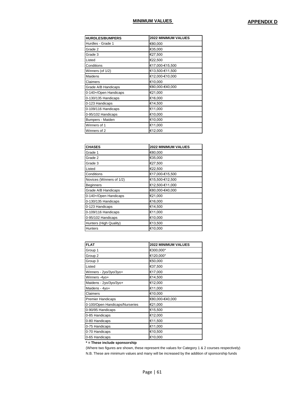#### **MINIMUM VALUES APPENDIX D**

| <b>HURDLES/BUMPERS</b> | <b>2022 MINIMUM VALUES</b> |
|------------------------|----------------------------|
| Hurdles - Grade 1      | €80,000                    |
| Grade 2                | €35,000                    |
| Grade 3                | €27,500                    |
| Listed                 | €22,500                    |
| Conditions             | €17,000-€15,500            |
| Winners (of 1/2)       | €13,500-€11,500            |
| Maidens                | €12,000-€10,000            |
| Claimers               | €10,000                    |
| Grade A/B Handicaps    | €80,000-€40,000            |
| 0-140+/Open Handicaps  | €21,000                    |
| 0-130/135 Handicaps    | €16,000                    |
| 0-123 Handicaps        | €14,500                    |
| 0-109/116 Handicaps    | €11,000                    |
| 0-95/102 Handicaps     | €10,000                    |
| Bumpers - Maiden       | €10,000                    |
| Winners of 1           | €11,000                    |
| Winners of 2           | €12,000                    |

| <b>CHASES</b>            | 2022 MINIMUM VALUES |
|--------------------------|---------------------|
| Grade 1                  | €80,000             |
| Grade 2                  | €35,000             |
| Grade 3                  | €27,500             |
| Listed                   | €22,500             |
| Conditions               | €17,000-€15,500     |
| Novices (Winners of 1/2) | €15,500-€12,500     |
| <b>Beginners</b>         | €12,500-€11,000     |
| Grade A/B Handicaps      | €80,000-€40,000     |
| 0-140+/Open Handicaps    | €21,000             |
| 0-130/135 Handicaps      | €16,000             |
| 0-123 Handicaps          | €14,500             |
| 0-109/116 Handicaps      | €11,000             |
| 0-95/102 Handicaps       | €10,000             |
| Hunters (High Quality)   | €13,500             |
| <b>Hunters</b>           | €10,000             |

| <b>FLAT</b>                    | <b>2022 MINIMUM VALUES</b> |
|--------------------------------|----------------------------|
| Group 1                        | €300,000*                  |
| Group 2                        | €120,000*                  |
| Group 3                        | €50,000                    |
| Listed                         | €37,500                    |
| Winners - 2yo/3yo/3yo+         | €17,000                    |
| Winners -4yo+                  | €14,500                    |
| Maidens - 2yo/3yo/3yo+         | €12,000                    |
| Maidens - 4yo+                 | €11,000                    |
| Claimers                       | €10,000                    |
| Premier Handicaps              | €80,000-€40,000            |
| 0-100/Open Handicaps/Nurseries | €21,000                    |
| 0-90/95 Handicaps              | €15,500                    |
| 0-85 Handicaps                 | €12,000                    |
| 0-80 Handicaps                 | €11,500                    |
| 0-75 Handicaps                 | €11,000                    |
| 0-70 Handicaps                 | €10,500                    |
| 0-65 Handicaps                 | €10,000                    |

**\* = These include sponsorship**

(Where two figures are shown, these represent the values for Category 1 & 2 courses respectively)

N.B. These are minimum values and many will be increased by the addition of sponsorship funds